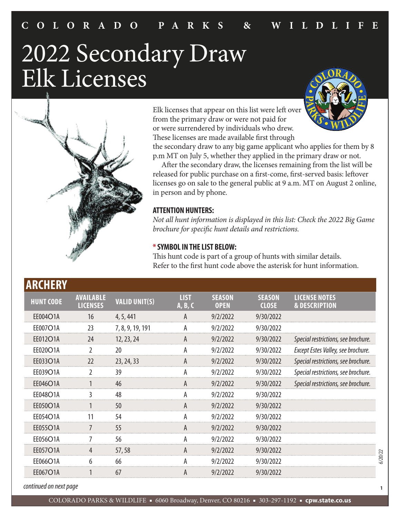# 2022 Secondary Draw Elk Licenses



Elk licenses that appear on this list were left over from the primary draw or were not paid for or were surrendered by individuals who drew. These licenses are made available first through



the secondary draw to any big game applicant who applies for them by 8 p.m MT on July 5, whether they applied in the primary draw or not.

 After the secondary draw, the licenses remaining from the list will be released for public purchase on a first-come, first-served basis: leftover licenses go on sale to the general public at 9 a.m. MT on August 2 online, in person and by phone.

#### **ATTENTION HUNTERS:**

*Not all hunt information is displayed in this list: Check the 2022 Big Game brochure for specific hunt details and restrictions.*

#### **\* SYMBOL IN THE LIST BELOW:**

This hunt code is part of a group of hunts with similar details. Refer to the first hunt code above the asterisk for hunt information.

| <b>ARCHERY</b>   |                                     |                      |                        |                              |                               |                                                  |
|------------------|-------------------------------------|----------------------|------------------------|------------------------------|-------------------------------|--------------------------------------------------|
| <b>HUNT CODE</b> | <b>AVAILABLE</b><br><b>LICENSES</b> | <b>VALID UNIT(S)</b> | <b>LIST</b><br>A, B, C | <b>SEASON</b><br><b>OPEN</b> | <b>SEASON</b><br><b>CLOSE</b> | <b>LICENSE NOTES</b><br><b>&amp; DESCRIPTION</b> |
| EE004O1A         | 16                                  | 4, 5, 441            | A                      | 9/2/2022                     | 9/30/2022                     |                                                  |
| EE007O1A         | 23                                  | 7, 8, 9, 19, 191     | А                      | 9/2/2022                     | 9/30/2022                     |                                                  |
| EE012O1A         | 24                                  | 12, 23, 24           | A                      | 9/2/2022                     | 9/30/2022                     | Special restrictions, see brochure.              |
| EE020O1A         | $\overline{2}$                      | 20                   | A                      | 9/2/2022                     | 9/30/2022                     | Except Estes Valley, see brochure.               |
| EE033O1A         | 22                                  | 23, 24, 33           | A                      | 9/2/2022                     | 9/30/2022                     | Special restrictions, see brochure.              |
| EE039O1A         | $\overline{2}$                      | 39                   | A                      | 9/2/2022                     | 9/30/2022                     | Special restrictions, see brochure.              |
| EE046O1A         | 1                                   | 46                   | A                      | 9/2/2022                     | 9/30/2022                     | Special restrictions, see brochure.              |
| EE048O1A         | 3                                   | 48                   | А                      | 9/2/2022                     | 9/30/2022                     |                                                  |
| EE050O1A         |                                     | 50                   | A                      | 9/2/2022                     | 9/30/2022                     |                                                  |
| EE054O1A         | 11                                  | 54                   | A                      | 9/2/2022                     | 9/30/2022                     |                                                  |
| EE055O1A         | 7                                   | 55                   | A                      | 9/2/2022                     | 9/30/2022                     |                                                  |
| EE056O1A         | 7                                   | 56                   | A                      | 9/2/2022                     | 9/30/2022                     |                                                  |
| EE057O1A         | 4                                   | 57,58                | A                      | 9/2/2022                     | 9/30/2022                     |                                                  |
| EE066O1A         | 6                                   | 66                   | A                      | 9/2/2022                     | 9/30/2022                     |                                                  |
| EE067O1A         |                                     | 67                   | A                      | 9/2/2022                     | 9/30/2022                     |                                                  |
|                  |                                     |                      |                        |                              |                               |                                                  |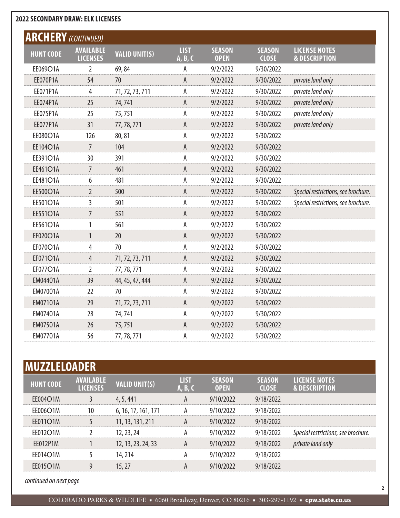| <b>ARCHERY</b> (CONTINUED) |                                     |                      |                        |                              |                               |                                                  |
|----------------------------|-------------------------------------|----------------------|------------------------|------------------------------|-------------------------------|--------------------------------------------------|
| <b>HUNT CODE</b>           | <b>AVAILABLE</b><br><b>LICENSES</b> | <b>VALID UNIT(S)</b> | <b>LIST</b><br>A, B, C | <b>SEASON</b><br><b>OPEN</b> | <b>SEASON</b><br><b>CLOSE</b> | <b>LICENSE NOTES</b><br><b>&amp; DESCRIPTION</b> |
| EE069O1A                   | 2                                   | 69,84                | Α                      | 9/2/2022                     | 9/30/2022                     |                                                  |
| EE070P1A                   | 54                                  | 70                   | A                      | 9/2/2022                     | 9/30/2022                     | private land only                                |
| EE071P1A                   | $\overline{4}$                      | 71, 72, 73, 711      | A                      | 9/2/2022                     | 9/30/2022                     | private land only                                |
| EE074P1A                   | 25                                  | 74,741               | $\mathsf{A}$           | 9/2/2022                     | 9/30/2022                     | private land only                                |
| EE075P1A                   | 25                                  | 75,751               | Α                      | 9/2/2022                     | 9/30/2022                     | private land only                                |
| <b>EE077P1A</b>            | 31                                  | 77, 78, 771          | A                      | 9/2/2022                     | 9/30/2022                     | private land only                                |
| EE080O1A                   | 126                                 | 80,81                | Α                      | 9/2/2022                     | 9/30/2022                     |                                                  |
| EE104O1A                   | $\overline{7}$                      | 104                  | $\mathsf{A}$           | 9/2/2022                     | 9/30/2022                     |                                                  |
| EE391O1A                   | 30                                  | 391                  | A                      | 9/2/2022                     | 9/30/2022                     |                                                  |
| EE461O1A                   | $\overline{7}$                      | 461                  | $\overline{A}$         | 9/2/2022                     | 9/30/2022                     |                                                  |
| EE481O1A                   | 6                                   | 481                  | А                      | 9/2/2022                     | 9/30/2022                     |                                                  |
| EE500O1A                   | $\overline{2}$                      | 500                  | $\mathsf{A}$           | 9/2/2022                     | 9/30/2022                     | Special restrictions, see brochure.              |
| EE501O1A                   | 3                                   | 501                  | Α                      | 9/2/2022                     | 9/30/2022                     | Special restrictions, see brochure.              |
| <b>EE551O1A</b>            | 7                                   | 551                  | $\mathsf{A}$           | 9/2/2022                     | 9/30/2022                     |                                                  |
| EE561O1A                   | 1                                   | 561                  | А                      | 9/2/2022                     | 9/30/2022                     |                                                  |
| EF020O1A                   | 1                                   | 20                   | A                      | 9/2/2022                     | 9/30/2022                     |                                                  |
| EF070O1A                   | 4                                   | 70                   | A                      | 9/2/2022                     | 9/30/2022                     |                                                  |
| EF071O1A                   | $\overline{4}$                      | 71, 72, 73, 711      | $\mathsf{A}$           | 9/2/2022                     | 9/30/2022                     |                                                  |
| EF077O1A                   | 2                                   | 77, 78, 771          | А                      | 9/2/2022                     | 9/30/2022                     |                                                  |
| EM04401A                   | 39                                  | 44, 45, 47, 444      | A                      | 9/2/2022                     | 9/30/2022                     |                                                  |
| EM07001A                   | 22                                  | 70                   | A                      | 9/2/2022                     | 9/30/2022                     |                                                  |
| EM07101A                   | 29                                  | 71, 72, 73, 711      | A                      | 9/2/2022                     | 9/30/2022                     |                                                  |
| EM07401A                   | 28                                  | 74,741               | А                      | 9/2/2022                     | 9/30/2022                     |                                                  |
| <b>EM07501A</b>            | 26                                  | 75,751               | A                      | 9/2/2022                     | 9/30/2022                     |                                                  |
| EM07701A                   | 56                                  | 77, 78, 771          | А                      | 9/2/2022                     | 9/30/2022                     |                                                  |

| <b>IMUZZLELOADER</b> |                                     |                      |                        |                              |                               |                                                  |  |  |  |
|----------------------|-------------------------------------|----------------------|------------------------|------------------------------|-------------------------------|--------------------------------------------------|--|--|--|
| <b>HUNT CODE</b>     | <b>AVAILABLE</b><br><b>LICENSES</b> | <b>VALID UNIT(S)</b> | <b>LIST</b><br>A, B, C | <b>SEASON</b><br><b>OPEN</b> | <b>SEASON</b><br><b>CLOSE</b> | <b>LICENSE NOTES</b><br><b>&amp; DESCRIPTION</b> |  |  |  |
| <b>EE004O1M</b>      |                                     | 4, 5, 441            | A                      | 9/10/2022                    | 9/18/2022                     |                                                  |  |  |  |
| <b>EE006O1M</b>      | 10                                  | 6, 16, 17, 161, 171  | А                      | 9/10/2022                    | 9/18/2022                     |                                                  |  |  |  |
| EE011O1M             |                                     | 11, 13, 131, 211     | A                      | 9/10/2022                    | 9/18/2022                     |                                                  |  |  |  |
| EE012O1M             |                                     | 12, 23, 24           | А                      | 9/10/2022                    | 9/18/2022                     | Special restrictions, see brochure.              |  |  |  |
| EE012P1M             |                                     | 12, 13, 23, 24, 33   | A                      | 9/10/2022                    | 9/18/2022                     | private land only                                |  |  |  |
| EE014O1M             |                                     | 14, 214              | А                      | 9/10/2022                    | 9/18/2022                     |                                                  |  |  |  |
| <b>EE015O1M</b>      | 9                                   | 15, 27               | A                      | 9/10/2022                    | 9/18/2022                     |                                                  |  |  |  |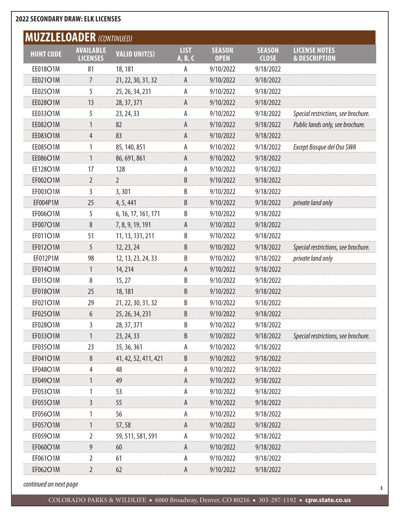| <b>MUZZLELOADER (CONTINUED)</b> |                                     |                      |                        |                              |                               |                                                  |
|---------------------------------|-------------------------------------|----------------------|------------------------|------------------------------|-------------------------------|--------------------------------------------------|
| <b>HUNT CODE</b>                | <b>AVAILABLE</b><br><b>LICENSES</b> | <b>VALID UNIT(S)</b> | <b>LIST</b><br>A, B, C | <b>SEASON</b><br><b>OPEN</b> | <b>SEASON</b><br><b>CLOSE</b> | <b>LICENSE NOTES</b><br><b>&amp; DESCRIPTION</b> |
| EE018O1M                        | 81                                  | 18, 181              | А                      | 9/10/2022                    | 9/18/2022                     |                                                  |
| EE021O1M                        | 7                                   | 21, 22, 30, 31, 32   | А                      | 9/10/2022                    | 9/18/2022                     |                                                  |
| EE025O1M                        | 5                                   | 25, 26, 34, 231      | А                      | 9/10/2022                    | 9/18/2022                     |                                                  |
| EE028O1M                        | 13                                  | 28, 37, 371          | A                      | 9/10/2022                    | 9/18/2022                     |                                                  |
| EE033O1M                        | 5                                   | 23, 24, 33           | А                      | 9/10/2022                    | 9/18/2022                     | Special restrictions, see brochure.              |
| EE082O1M                        | 1                                   | 82                   | А                      | 9/10/2022                    | 9/18/2022                     | Public lands only, see brochure.                 |
| EE083O1M                        | $\overline{4}$                      | 83                   | А                      | 9/10/2022                    | 9/18/2022                     |                                                  |
| EE085O1M                        | 1                                   | 85, 140, 851         | А                      | 9/10/2022                    | 9/18/2022                     | Except Bosque del Oso SWA                        |
| EE086O1M                        | 1                                   | 86, 691, 861         | A                      | 9/10/2022                    | 9/18/2022                     |                                                  |
| <b>EE128O1M</b>                 | 17                                  | 128                  | А                      | 9/10/2022                    | 9/18/2022                     |                                                  |
| EF002O1M                        | $\overline{2}$                      | $\overline{2}$       | B                      | 9/10/2022                    | 9/18/2022                     |                                                  |
| EF003O1M                        | 3                                   | 3,301                | B                      | 9/10/2022                    | 9/18/2022                     |                                                  |
| EF004P1M                        | 25                                  | 4, 5, 441            | B                      | 9/10/2022                    | 9/18/2022                     | private land only                                |
| EF006O1M                        | 5                                   | 6, 16, 17, 161, 171  | В                      | 9/10/2022                    | 9/18/2022                     |                                                  |
| EF007O1M                        | 8                                   | 7, 8, 9, 19, 191     | А                      | 9/10/2022                    | 9/18/2022                     |                                                  |
| EF011O1M                        | 51                                  | 11, 13, 131, 211     | B                      | 9/10/2022                    | 9/18/2022                     |                                                  |
| EF012O1M                        | 5                                   | 12, 23, 24           | B                      | 9/10/2022                    | 9/18/2022                     | Special restrictions, see brochure.              |
| EF012P1M                        | 98                                  | 12, 13, 23, 24, 33   | B                      | 9/10/2022                    | 9/18/2022                     | private land only                                |
| EF014O1M                        | 1                                   | 14, 214              | А                      | 9/10/2022                    | 9/18/2022                     |                                                  |
| EF015O1M                        | 8                                   | 15, 27               | B                      | 9/10/2022                    | 9/18/2022                     |                                                  |
| EF018O1M                        | 25                                  | 18, 181              | B                      | 9/10/2022                    | 9/18/2022                     |                                                  |
| EF021O1M                        | 29                                  | 21, 22, 30, 31, 32   | B                      | 9/10/2022                    | 9/18/2022                     |                                                  |
| EF025O1M                        | 6                                   | 25, 26, 34, 231      | B                      | 9/10/2022                    | 9/18/2022                     |                                                  |
| EF028O1M                        | 3                                   | 28, 37, 371          | B                      | 9/10/2022                    | 9/18/2022                     |                                                  |
| EF033O1M                        |                                     | 23, 24, 33           | B                      | 9/10/2022                    | 9/18/2022                     | Special restrictions, see brochure.              |
| EF035O1M                        | 23                                  | 35, 36, 361          | А                      | 9/10/2022                    | 9/18/2022                     |                                                  |
| EF041O1M                        | 8                                   | 41, 42, 52, 411, 421 | B                      | 9/10/2022                    | 9/18/2022                     |                                                  |
| EF048O1M                        | 4                                   | 48                   | А                      | 9/10/2022                    | 9/18/2022                     |                                                  |
| EF049O1M                        |                                     | 49                   | А                      | 9/10/2022                    | 9/18/2022                     |                                                  |
| EF053O1M                        |                                     | 53                   | А                      | 9/10/2022                    | 9/18/2022                     |                                                  |
| EF055O1M                        | 3                                   | 55                   | А                      | 9/10/2022                    | 9/18/2022                     |                                                  |
| EF056O1M                        |                                     | 56                   | А                      | 9/10/2022                    | 9/18/2022                     |                                                  |
| EF057O1M                        | 1                                   | 57,58                | A                      | 9/10/2022                    | 9/18/2022                     |                                                  |
| EF059O1M                        | 2                                   | 59, 511, 581, 591    | А                      | 9/10/2022                    | 9/18/2022                     |                                                  |
| EF060O1M                        | 9                                   | 60                   | А                      | 9/10/2022                    | 9/18/2022                     |                                                  |
| EF061O1M                        | $\overline{2}$                      | 61                   | А                      | 9/10/2022                    | 9/18/2022                     |                                                  |
| EF062O1M                        | $\overline{2}$                      | 62                   | А                      | 9/10/2022                    | 9/18/2022                     |                                                  |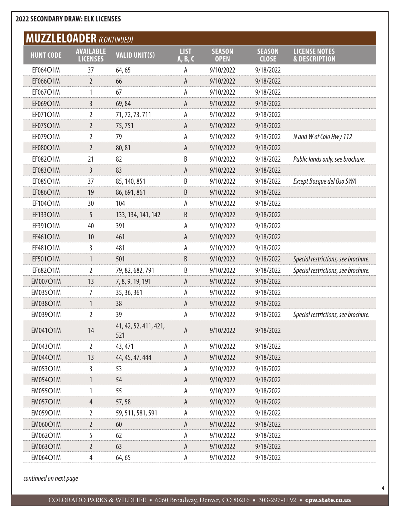| <b>MUZZLELOADER (CONTINUED)</b> |                                     |                              |                        |                              |                               |                                                  |
|---------------------------------|-------------------------------------|------------------------------|------------------------|------------------------------|-------------------------------|--------------------------------------------------|
| <b>HUNT CODE</b>                | <b>AVAILABLE</b><br><b>LICENSES</b> | <b>VALID UNIT(S)</b>         | <b>LIST</b><br>A, B, C | <b>SEASON</b><br><b>OPEN</b> | <b>SEASON</b><br><b>CLOSE</b> | <b>LICENSE NOTES</b><br><b>&amp; DESCRIPTION</b> |
| EF064O1M                        | 37                                  | 64,65                        | А                      | 9/10/2022                    | 9/18/2022                     |                                                  |
| EF066O1M                        | $\overline{2}$                      | 66                           | А                      | 9/10/2022                    | 9/18/2022                     |                                                  |
| EF067O1M                        | 1                                   | 67                           | А                      | 9/10/2022                    | 9/18/2022                     |                                                  |
| EF069O1M                        | 3                                   | 69,84                        | А                      | 9/10/2022                    | 9/18/2022                     |                                                  |
| EF071O1M                        | 2                                   | 71, 72, 73, 711              | Α                      | 9/10/2022                    | 9/18/2022                     |                                                  |
| EF075O1M                        | $\overline{2}$                      | 75,751                       | А                      | 9/10/2022                    | 9/18/2022                     |                                                  |
| EF079O1M                        | 2                                   | 79                           | А                      | 9/10/2022                    | 9/18/2022                     | N and W of Colo Hwy 112                          |
| EF080O1M                        | $\overline{2}$                      | 80,81                        | А                      | 9/10/2022                    | 9/18/2022                     |                                                  |
| EF082O1M                        | 21                                  | 82                           | B                      | 9/10/2022                    | 9/18/2022                     | Public lands only, see brochure.                 |
| EF083O1M                        | 3                                   | 83                           | А                      | 9/10/2022                    | 9/18/2022                     |                                                  |
| EF085O1M                        | 37                                  | 85, 140, 851                 | B                      | 9/10/2022                    | 9/18/2022                     | Except Bosque del Oso SWA                        |
| EF086O1M                        | 19                                  | 86, 691, 861                 | B                      | 9/10/2022                    | 9/18/2022                     |                                                  |
| EF104O1M                        | 30                                  | 104                          | Α                      | 9/10/2022                    | 9/18/2022                     |                                                  |
| EF133O1M                        | 5                                   | 133, 134, 141, 142           | B                      | 9/10/2022                    | 9/18/2022                     |                                                  |
| EF391O1M                        | 40                                  | 391                          | А                      | 9/10/2022                    | 9/18/2022                     |                                                  |
| EF461O1M                        | 10                                  | 461                          | А                      | 9/10/2022                    | 9/18/2022                     |                                                  |
| EF481O1M                        | 3                                   | 481                          | Α                      | 9/10/2022                    | 9/18/2022                     |                                                  |
| EF501O1M                        | 1                                   | 501                          | B                      | 9/10/2022                    | 9/18/2022                     | Special restrictions, see brochure.              |
| EF682O1M                        | 2                                   | 79, 82, 682, 791             | B                      | 9/10/2022                    | 9/18/2022                     | Special restrictions, see brochure.              |
| <b>EM007O1M</b>                 | 13                                  | 7, 8, 9, 19, 191             | А                      | 9/10/2022                    | 9/18/2022                     |                                                  |
| <b>EM035O1M</b>                 | 7                                   | 35, 36, 361                  | А                      | 9/10/2022                    | 9/18/2022                     |                                                  |
| <b>EM038O1M</b>                 | 1                                   | 38                           | A                      | 9/10/2022                    | 9/18/2022                     |                                                  |
| <b>EM039O1M</b>                 | 2                                   | 39                           | А                      | 9/10/2022                    | 9/18/2022                     | Special restrictions, see brochure.              |
| <b>EM041O1M</b>                 | 14                                  | 41, 42, 52, 411, 421,<br>521 | A                      | 9/10/2022                    | 9/18/2022                     |                                                  |
| <b>EM043O1M</b>                 | $\overline{2}$                      | 43, 471                      | А                      | 9/10/2022                    | 9/18/2022                     |                                                  |
| <b>EM044O1M</b>                 | 13                                  | 44, 45, 47, 444              | A                      | 9/10/2022                    | 9/18/2022                     |                                                  |
| <b>EM053O1M</b>                 | 3                                   | 53                           | А                      | 9/10/2022                    | 9/18/2022                     |                                                  |
| <b>EM054O1M</b>                 |                                     | 54                           | А                      | 9/10/2022                    | 9/18/2022                     |                                                  |
| <b>EM055O1M</b>                 |                                     | 55                           | А                      | 9/10/2022                    | 9/18/2022                     |                                                  |
| <b>EM057O1M</b>                 | $\overline{4}$                      | 57,58                        | А                      | 9/10/2022                    | 9/18/2022                     |                                                  |
| <b>EM059O1M</b>                 | 2                                   | 59, 511, 581, 591            | Α                      | 9/10/2022                    | 9/18/2022                     |                                                  |
| <b>EM060O1M</b>                 | $\overline{2}$                      | 60                           | A                      | 9/10/2022                    | 9/18/2022                     |                                                  |
| <b>EM062O1M</b>                 | 5                                   | 62                           | А                      | 9/10/2022                    | 9/18/2022                     |                                                  |
| <b>EM063O1M</b>                 | $\overline{2}$                      | 63                           | А                      | 9/10/2022                    | 9/18/2022                     |                                                  |
| <b>EM064O1M</b>                 | $\overline{4}$                      | 64, 65                       | А                      | 9/10/2022                    | 9/18/2022                     |                                                  |

*continued on next page*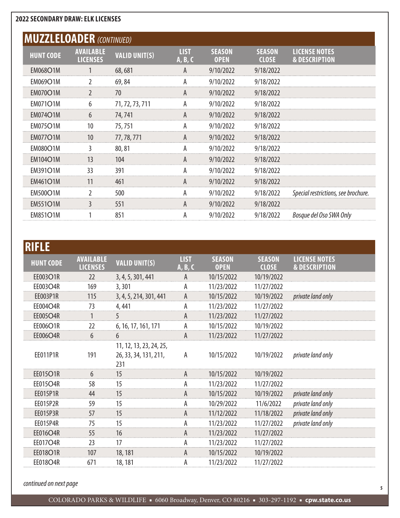| <b>MUZZLELOADER (CONTINUED)</b> |                                     |                      |                        |                              |                               |                                                  |
|---------------------------------|-------------------------------------|----------------------|------------------------|------------------------------|-------------------------------|--------------------------------------------------|
| <b>HUNT CODE</b>                | <b>AVAILABLE</b><br><b>LICENSES</b> | <b>VALID UNIT(S)</b> | <b>LIST</b><br>A, B, C | <b>SEASON</b><br><b>OPEN</b> | <b>SEASON</b><br><b>CLOSE</b> | <b>LICENSE NOTES</b><br><b>&amp; DESCRIPTION</b> |
| <b>EM068O1M</b>                 |                                     | 68,681               | A                      | 9/10/2022                    | 9/18/2022                     |                                                  |
| <b>EM069O1M</b>                 | $\overline{2}$                      | 69,84                | A                      | 9/10/2022                    | 9/18/2022                     |                                                  |
| <b>EM070O1M</b>                 | $\overline{2}$                      | 70                   | A                      | 9/10/2022                    | 9/18/2022                     |                                                  |
| <b>EM071O1M</b>                 | 6                                   | 71, 72, 73, 711      | A                      | 9/10/2022                    | 9/18/2022                     |                                                  |
| <b>EM074O1M</b>                 | 6                                   | 74, 741              | A                      | 9/10/2022                    | 9/18/2022                     |                                                  |
| <b>EM075O1M</b>                 | 10                                  | 75,751               | A                      | 9/10/2022                    | 9/18/2022                     |                                                  |
| <b>EM077O1M</b>                 | 10                                  | 77, 78, 771          | A                      | 9/10/2022                    | 9/18/2022                     |                                                  |
| <b>EM080O1M</b>                 | 3                                   | 80,81                | А                      | 9/10/2022                    | 9/18/2022                     |                                                  |
| <b>EM104O1M</b>                 | 13                                  | 104                  | A                      | 9/10/2022                    | 9/18/2022                     |                                                  |
| <b>EM391O1M</b>                 | 33                                  | 391                  | А                      | 9/10/2022                    | 9/18/2022                     |                                                  |
| <b>EM461O1M</b>                 | 11                                  | 461                  | A                      | 9/10/2022                    | 9/18/2022                     |                                                  |
| <b>EM500O1M</b>                 | $\overline{2}$                      | 500                  | А                      | 9/10/2022                    | 9/18/2022                     | Special restrictions, see brochure.              |
| <b>EM551O1M</b>                 | 3                                   | 551                  | A                      | 9/10/2022                    | 9/18/2022                     |                                                  |
| <b>EM851O1M</b>                 |                                     | 851                  | А                      | 9/10/2022                    | 9/18/2022                     | Bosque del Oso SWA Only                          |

| <b>RIFLE</b>     |                                     |                                                         |                        |                              |                               |                                                  |
|------------------|-------------------------------------|---------------------------------------------------------|------------------------|------------------------------|-------------------------------|--------------------------------------------------|
| <b>HUNT CODE</b> | <b>AVAILABLE</b><br><b>LICENSES</b> | <b>VALID UNIT(S)</b>                                    | <b>LIST</b><br>A, B, C | <b>SEASON</b><br><b>OPEN</b> | <b>SEASON</b><br><b>CLOSE</b> | <b>LICENSE NOTES</b><br><b>&amp; DESCRIPTION</b> |
| EE003O1R         | 22                                  | 3, 4, 5, 301, 441                                       | A                      | 10/15/2022                   | 10/19/2022                    |                                                  |
| EE003O4R         | 169                                 | 3,301                                                   | А                      | 11/23/2022                   | 11/27/2022                    |                                                  |
| EE003P1R         | 115                                 | 3, 4, 5, 214, 301, 441                                  | A                      | 10/15/2022                   | 10/19/2022                    | private land only                                |
| EE004O4R         | 73                                  | 4,441                                                   | А                      | 11/23/2022                   | 11/27/2022                    |                                                  |
| EE005O4R         | 1                                   | 5                                                       | A                      | 11/23/2022                   | 11/27/2022                    |                                                  |
| EE006O1R         | 22                                  | 6, 16, 17, 161, 171                                     | А                      | 10/15/2022                   | 10/19/2022                    |                                                  |
| EE006O4R         | 6                                   | 6                                                       | A                      | 11/23/2022                   | 11/27/2022                    |                                                  |
| EE011P1R         | 191                                 | 11, 12, 13, 23, 24, 25,<br>26, 33, 34, 131, 211,<br>231 | А                      | 10/15/2022                   | 10/19/2022                    | private land only                                |
| <b>EE015O1R</b>  | 6                                   | 15                                                      | A                      | 10/15/2022                   | 10/19/2022                    |                                                  |
| <b>EE015O4R</b>  | 58                                  | 15                                                      | А                      | 11/23/2022                   | 11/27/2022                    |                                                  |
| EE015P1R         | 44                                  | 15                                                      | A                      | 10/15/2022                   | 10/19/2022                    | private land only                                |
| EE015P2R         | 59                                  | 15                                                      | Α                      | 10/29/2022                   | 11/6/2022                     | private land only                                |
| <b>EE015P3R</b>  | 57                                  | 15                                                      | А                      | 11/12/2022                   | 11/18/2022                    | private land only                                |
| EE015P4R         | 75                                  | 15                                                      | А                      | 11/23/2022                   | 11/27/2022                    | private land only                                |
| EE016O4R         | 55                                  | 16                                                      | A                      | 11/23/2022                   | 11/27/2022                    |                                                  |
| EE017O4R         | 23                                  | 17                                                      | А                      | 11/23/2022                   | 11/27/2022                    |                                                  |
| EE018O1R         | 107                                 | 18, 181                                                 | A                      | 10/15/2022                   | 10/19/2022                    |                                                  |
| <b>EE018O4R</b>  | 671                                 | 18, 181                                                 | Α                      | 11/23/2022                   | 11/27/2022                    |                                                  |

*continued on next page*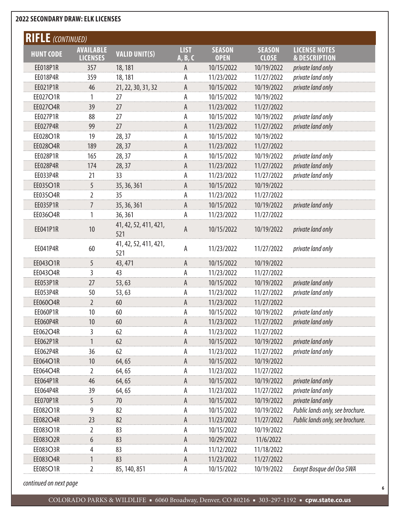| <b>RIFLE</b> (CONTINUED) |                                     |                              |                        |                              |                               |                                                  |
|--------------------------|-------------------------------------|------------------------------|------------------------|------------------------------|-------------------------------|--------------------------------------------------|
| <b>HUNT CODE</b>         | <b>AVAILABLE</b><br><b>LICENSES</b> | <b>VALID UNIT(S)</b>         | <b>LIST</b><br>A, B, C | <b>SEASON</b><br><b>OPEN</b> | <b>SEASON</b><br><b>CLOSE</b> | <b>LICENSE NOTES</b><br><b>&amp; DESCRIPTION</b> |
| EE018P1R                 | 357                                 | 18, 181                      | A                      | 10/15/2022                   | 10/19/2022                    | private land only                                |
| EE018P4R                 | 359                                 | 18, 181                      | А                      | 11/23/2022                   | 11/27/2022                    | private land only                                |
| EE021P1R                 | 46                                  | 21, 22, 30, 31, 32           | A                      | 10/15/2022                   | 10/19/2022                    | private land only                                |
| EE027O1R                 | 1                                   | 27                           | А                      | 10/15/2022                   | 10/19/2022                    |                                                  |
| EE027O4R                 | 39                                  | 27                           | A                      | 11/23/2022                   | 11/27/2022                    |                                                  |
| EE027P1R                 | 88                                  | 27                           | А                      | 10/15/2022                   | 10/19/2022                    | private land only                                |
| EE027P4R                 | 99                                  | 27                           | A                      | 11/23/2022                   | 11/27/2022                    | private land only                                |
| EE028O1R                 | 19                                  | 28, 37                       | А                      | 10/15/2022                   | 10/19/2022                    |                                                  |
| EE028O4R                 | 189                                 | 28, 37                       | A                      | 11/23/2022                   | 11/27/2022                    |                                                  |
| EE028P1R                 | 165                                 | 28, 37                       | А                      | 10/15/2022                   | 10/19/2022                    | private land only                                |
| EE028P4R                 | 174                                 | 28, 37                       | Α                      | 11/23/2022                   | 11/27/2022                    | private land only                                |
| EE033P4R                 | 21                                  | 33                           | A                      | 11/23/2022                   | 11/27/2022                    | private land only                                |
| EE035O1R                 | 5                                   | 35, 36, 361                  | A                      | 10/15/2022                   | 10/19/2022                    |                                                  |
| EE035O4R                 | 2                                   | 35                           | А                      | 11/23/2022                   | 11/27/2022                    |                                                  |
| EE035P1R                 | $\overline{7}$                      | 35, 36, 361                  | Α                      | 10/15/2022                   | 10/19/2022                    | private land only                                |
| EE036O4R                 | 1                                   | 36, 361                      | А                      | 11/23/2022                   | 11/27/2022                    |                                                  |
| EE041P1R                 | 10                                  | 41, 42, 52, 411, 421,<br>521 | A                      | 10/15/2022                   | 10/19/2022                    | private land only                                |
| EE041P4R                 | 60                                  | 41, 42, 52, 411, 421,<br>521 | A                      | 11/23/2022                   | 11/27/2022                    | private land only                                |
| EE043O1R                 | 5                                   | 43, 471                      | A                      | 10/15/2022                   | 10/19/2022                    |                                                  |
| EE043O4R                 | 3                                   | 43                           | Α                      | 11/23/2022                   | 11/27/2022                    |                                                  |
| EE053P1R                 | 27                                  | 53,63                        | A                      | 10/15/2022                   | 10/19/2022                    | private land only                                |
| EE053P4R                 | 50                                  | 53, 63                       | А                      | 11/23/2022                   | 11/27/2022                    | private land only                                |
| EE060O4R                 | $\overline{2}$                      | 60                           | A                      | 11/23/2022                   | 11/27/2022                    |                                                  |
| EE060P1R                 | 10                                  | 60                           | Α                      | 10/15/2022                   | 10/19/2022                    | private land only                                |
| EE060P4R                 | 10                                  | 60                           | A                      | 11/23/2022                   | 11/27/2022                    | private land only                                |
| EE062O4R                 | 3                                   | 62                           | A                      | 11/23/2022                   | 11/27/2022                    |                                                  |
| EE062P1R                 | 1                                   | 62                           | А                      | 10/15/2022                   | 10/19/2022                    | private land only                                |
| EE062P4R                 | 36                                  | 62                           | А                      | 11/23/2022                   | 11/27/2022                    | private land only                                |
| EE064O1R                 | 10                                  | 64,65                        | A                      | 10/15/2022                   | 10/19/2022                    |                                                  |
| EE064O4R                 | 2                                   | 64,65                        | А                      | 11/23/2022                   | 11/27/2022                    |                                                  |
| EE064P1R                 | 46                                  | 64,65                        | A                      | 10/15/2022                   | 10/19/2022                    | private land only                                |
| EE064P4R                 | 39                                  | 64,65                        | А                      | 11/23/2022                   | 11/27/2022                    | private land only                                |
| EE070P1R                 | 5                                   | 70                           | A                      | 10/15/2022                   | 10/19/2022                    | private land only                                |
| EE082O1R                 | 9                                   | 82                           | А                      | 10/15/2022                   | 10/19/2022                    | Public lands only, see brochure.                 |
| EE082O4R                 | 23                                  | 82                           | A                      | 11/23/2022                   | 11/27/2022                    | Public lands only, see brochure.                 |
| EE083O1R                 | 2                                   | 83                           | А                      | 10/15/2022                   | 10/19/2022                    |                                                  |
| EE083O2R                 | 6                                   | 83                           | A                      | 10/29/2022                   | 11/6/2022                     |                                                  |
| EE083O3R                 | 4                                   | 83                           | А                      | 11/12/2022                   | 11/18/2022                    |                                                  |
| EE083O4R                 | 1                                   | 83                           | A                      | 11/23/2022                   | 11/27/2022                    |                                                  |
| EE085O1R                 | 2                                   | 85, 140, 851                 | А                      | 10/15/2022                   | 10/19/2022                    | Except Bosque del Oso SWA                        |

*continued on next page*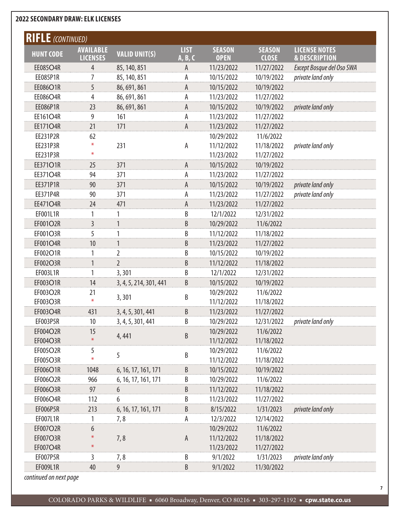| <b>RIFLE</b> (CONTINUED) |                                     |                        |                        |                              |                               |                                                  |
|--------------------------|-------------------------------------|------------------------|------------------------|------------------------------|-------------------------------|--------------------------------------------------|
| <b>HUNT CODE</b>         | <b>AVAILABLE</b><br><b>LICENSES</b> | <b>VALID UNIT(S)</b>   | <b>LIST</b><br>A, B, C | <b>SEASON</b><br><b>OPEN</b> | <b>SEASON</b><br><b>CLOSE</b> | <b>LICENSE NOTES</b><br><b>&amp; DESCRIPTION</b> |
| EE085O4R                 | 4                                   | 85, 140, 851           | A                      | 11/23/2022                   | 11/27/2022                    | Except Bosque del Oso SWA                        |
| <b>EE085P1R</b>          | 7                                   | 85, 140, 851           | А                      | 10/15/2022                   | 10/19/2022                    | private land only                                |
| EE086O1R                 | 5                                   | 86, 691, 861           | A                      | 10/15/2022                   | 10/19/2022                    |                                                  |
| EE086O4R                 | 4                                   | 86, 691, 861           | А                      | 11/23/2022                   | 11/27/2022                    |                                                  |
| EE086P1R                 | 23                                  | 86, 691, 861           | A                      | 10/15/2022                   | 10/19/2022                    | private land only                                |
| EE161O4R                 | 9                                   | 161                    | А                      | 11/23/2022                   | 11/27/2022                    |                                                  |
| <b>EE171O4R</b>          | 21                                  | 171                    | A                      | 11/23/2022                   | 11/27/2022                    |                                                  |
| EE231P2R                 | 62                                  |                        |                        | 10/29/2022                   | 11/6/2022                     |                                                  |
| EE231P3R                 | $\ast$                              | 231                    | A                      | 11/12/2022                   | 11/18/2022                    | private land only                                |
| EE231P3R                 | $\ast$                              |                        |                        | 11/23/2022                   | 11/27/2022                    |                                                  |
| EE371O1R                 | 25                                  | 371                    | A                      | 10/15/2022                   | 10/19/2022                    |                                                  |
| EE371O4R                 | 94                                  | 371                    | А                      | 11/23/2022                   | 11/27/2022                    |                                                  |
| EE371P1R                 | 90                                  | 371                    | A                      | 10/15/2022                   | 10/19/2022                    | private land only                                |
| EE371P4R                 | 90                                  | 371                    | А                      | 11/23/2022                   | 11/27/2022                    | private land only                                |
| EE471O4R                 | 24                                  | 471                    | A                      | 11/23/2022                   | 11/27/2022                    |                                                  |
| EF001L1R                 |                                     | 1                      | B                      | 12/1/2022                    | 12/31/2022                    |                                                  |
| EF001O2R                 | 3                                   | $\mathbf{1}$           | B                      | 10/29/2022                   | 11/6/2022                     |                                                  |
| EF001O3R                 | 5                                   | 1                      | B                      | 11/12/2022                   | 11/18/2022                    |                                                  |
| EF001O4R                 | 10                                  | $\mathbf{1}$           | B                      | 11/23/2022                   | 11/27/2022                    |                                                  |
| EF002O1R                 |                                     | $\overline{2}$         | B                      | 10/15/2022                   | 10/19/2022                    |                                                  |
| EF002O3R                 | 1                                   | $\overline{2}$         | B                      | 11/12/2022                   | 11/18/2022                    |                                                  |
| EF003L1R                 | 1                                   | 3,301                  | B                      | 12/1/2022                    | 12/31/2022                    |                                                  |
| EF003O1R                 | 14                                  | 3, 4, 5, 214, 301, 441 | B                      | 10/15/2022                   | 10/19/2022                    |                                                  |
| EF003O2R                 | 21                                  |                        | B                      | 10/29/2022                   | 11/6/2022                     |                                                  |
| EF003O3R                 | $\divideontimes$                    | 3,301                  |                        | 11/12/2022                   | 11/18/2022                    |                                                  |
| EF003O4R                 | 431                                 | 3, 4, 5, 301, 441      | B                      | 11/23/2022                   | 11/27/2022                    |                                                  |
| EF003P5R                 | 10                                  | 3, 4, 5, 301, 441      | B                      | 10/29/2022                   | 12/31/2022                    | private land only                                |
| EF004O2R                 | 15                                  | 4,441                  | B                      | 10/29/2022                   | 11/6/2022                     |                                                  |
| EF004O3R                 | $\ast$                              |                        |                        | 11/12/2022                   | 11/18/2022                    |                                                  |
| EF005O2R                 | 5                                   | 5                      | B                      | 10/29/2022                   | 11/6/2022                     |                                                  |
| EF005O3R                 |                                     |                        |                        | 11/12/2022                   | 11/18/2022                    |                                                  |
| EF006O1R                 | 1048                                | 6, 16, 17, 161, 171    | B                      | 10/15/2022                   | 10/19/2022                    |                                                  |
| EF006O2R                 | 966                                 | 6, 16, 17, 161, 171    | B                      | 10/29/2022                   | 11/6/2022                     |                                                  |
| EF006O3R                 | 97                                  | 6                      | B                      | 11/12/2022                   | 11/18/2022                    |                                                  |
| EF006O4R                 | 112                                 | 6                      | B                      | 11/23/2022                   | 11/27/2022                    |                                                  |
| EF006P5R                 | 213                                 | 6, 16, 17, 161, 171    | B                      | 8/15/2022                    | 1/31/2023                     | private land only                                |
| EF007L1R                 |                                     | 7,8                    | A                      | 12/3/2022                    | 12/14/2022                    |                                                  |
| EF007O2R                 | 6                                   |                        |                        | 10/29/2022                   | 11/6/2022                     |                                                  |
| EF007O3R                 |                                     | 7,8                    | $\mathsf A$            | 11/12/2022                   | 11/18/2022                    |                                                  |
| EF007O4R                 | ⋇                                   |                        |                        | 11/23/2022                   | 11/27/2022                    |                                                  |
| EF007P5R                 | 3                                   | 7,8                    | B                      | 9/1/2022                     | 1/31/2023                     | private land only                                |
| EF009L1R                 | 40                                  | 9                      | B                      | 9/1/2022                     | 11/30/2022                    |                                                  |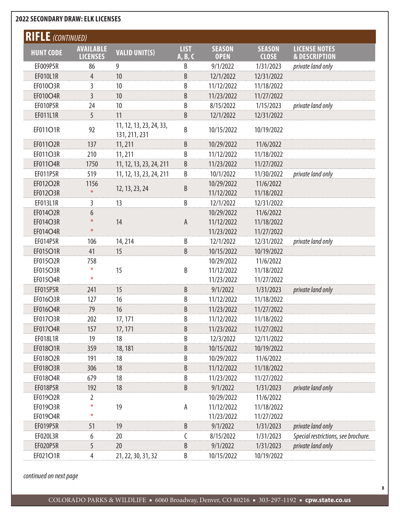| <b>RIFLE</b> (CONTINUED) |                  |                                          |              |               |               |                                     |  |  |
|--------------------------|------------------|------------------------------------------|--------------|---------------|---------------|-------------------------------------|--|--|
| <b>HUNT CODE</b>         | <b>AVAILABLE</b> | <b>VALID UNIT(S)</b>                     | <b>LIST</b>  | <b>SEASON</b> | <b>SEASON</b> | <b>LICENSE NOTES</b>                |  |  |
|                          | <b>LICENSES</b>  |                                          | A, B, C      | <b>OPEN</b>   | <b>CLOSE</b>  | <b>&amp; DESCRIPTION</b>            |  |  |
| EF009P5R                 | 86               | 9                                        | B            | 9/1/2022      | 1/31/2023     | private land only                   |  |  |
| EF010L1R                 | $\overline{4}$   | 10                                       | B            | 12/1/2022     | 12/31/2022    |                                     |  |  |
| EF010O3R                 | $\overline{3}$   | 10                                       | B            | 11/12/2022    | 11/18/2022    |                                     |  |  |
| EF010O4R                 | $\overline{3}$   | 10                                       | B            | 11/23/2022    | 11/27/2022    |                                     |  |  |
| EF010P5R                 | 24               | 10                                       | B            | 8/15/2022     | 1/15/2023     | private land only                   |  |  |
| EF011L1R                 | 5                | 11                                       | B            | 12/1/2022     | 12/31/2022    |                                     |  |  |
| EF011O1R                 | 92               | 11, 12, 13, 23, 24, 33,<br>131, 211, 231 | B            | 10/15/2022    | 10/19/2022    |                                     |  |  |
| EF011O2R                 | 137              | 11, 211                                  | B            | 10/29/2022    | 11/6/2022     |                                     |  |  |
| EF011O3R                 | 210              | 11, 211                                  | B            | 11/12/2022    | 11/18/2022    |                                     |  |  |
| EF011O4R                 | 1750             | 11, 12, 13, 23, 24, 211                  | B            | 11/23/2022    | 11/27/2022    |                                     |  |  |
| EF011P5R                 | 519              | 11, 12, 13, 23, 24, 211                  | B            | 10/1/2022     | 11/30/2022    | private land only                   |  |  |
| EF012O2R                 | 1156             |                                          |              | 10/29/2022    | 11/6/2022     |                                     |  |  |
| EF012O3R                 | $\ast$           | 12, 13, 23, 24                           | B            | 11/12/2022    | 11/18/2022    |                                     |  |  |
| EF013L1R                 | 3                | 13                                       | B            | 12/1/2022     | 12/31/2022    |                                     |  |  |
| EF014O2R                 | 6                |                                          |              | 10/29/2022    | 11/6/2022     |                                     |  |  |
| EF014O3R                 |                  | 14                                       | $\mathsf{A}$ | 11/12/2022    | 11/18/2022    |                                     |  |  |
| EF014O4R                 | $\ast$           |                                          |              | 11/23/2022    | 11/27/2022    |                                     |  |  |
| EF014P5R                 | 106              | 14, 214                                  | B            | 12/1/2022     | 12/31/2022    | private land only                   |  |  |
| EF015O1R                 | 41               | 15                                       | B            | 10/15/2022    | 10/19/2022    |                                     |  |  |
| EF015O2R                 | 758              |                                          |              | 10/29/2022    | 11/6/2022     |                                     |  |  |
| EF015O3R                 | $\ast$           | 15                                       | B            | 11/12/2022    | 11/18/2022    |                                     |  |  |
| EF015O4R                 | $\ast$           |                                          |              | 11/23/2022    | 11/27/2022    |                                     |  |  |
| EF015P5R                 | 241              | 15                                       | B            | 9/1/2022      | 1/31/2023     | private land only                   |  |  |
| EF016O3R                 | 127              | 16                                       | B            | 11/12/2022    | 11/18/2022    |                                     |  |  |
| EF016O4R                 | 79               | 16                                       | B            | 11/23/2022    | 11/27/2022    |                                     |  |  |
| EF017O3R                 | 202              | 17, 171                                  | B            | 11/12/2022    | 11/18/2022    |                                     |  |  |
| EF017O4R                 | 157              | 17, 171                                  | B            | 11/23/2022    | 11/27/2022    |                                     |  |  |
| EF018L1R                 | 19               | 18                                       | B            | 12/3/2022     | 12/11/2022    |                                     |  |  |
| EF018O1R                 | 359              | 18, 181                                  | B            | 10/15/2022    | 10/19/2022    |                                     |  |  |
| EF018O2R                 | 191              | 18                                       | B            | 10/29/2022    | 11/6/2022     |                                     |  |  |
| <b>EF018O3R</b>          | 306              | 18                                       | B            | 11/12/2022    | 11/18/2022    |                                     |  |  |
| EF018O4R                 | 679              | 18                                       | B            | 11/23/2022    | 11/27/2022    |                                     |  |  |
| EF018P5R                 | 192              | 18                                       | B            | 9/1/2022      | 1/31/2023     | private land only                   |  |  |
| EF019O2R                 | 2                |                                          |              | 10/29/2022    | 11/6/2022     |                                     |  |  |
| EF019O3R                 | $\ast$           | 19                                       | А            | 11/12/2022    | 11/18/2022    |                                     |  |  |
| EF019O4R                 | $\ast$           |                                          |              | 11/23/2022    | 11/27/2022    |                                     |  |  |
| EF019P5R                 | 51               | 19                                       | B            | 9/1/2022      | 1/31/2023     | private land only                   |  |  |
| EF020L3R                 | 6                | 20                                       | C            | 8/15/2022     | 1/31/2023     | Special restrictions, see brochure. |  |  |
| EF020P5R                 | 5                | 20                                       | B            | 9/1/2022      | 1/31/2023     | private land only                   |  |  |
| EF021O1R                 | 4                | 21, 22, 30, 31, 32                       | В            | 10/15/2022    | 10/19/2022    |                                     |  |  |

*continued on next page*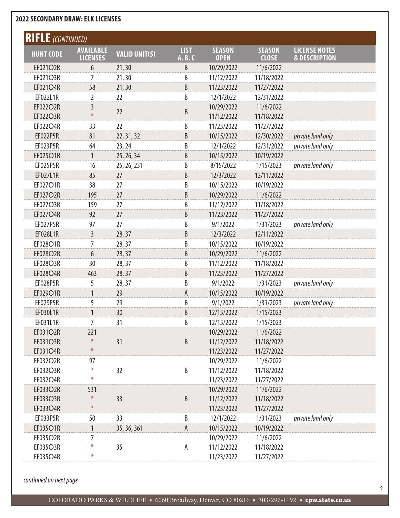| <b>RIFLE</b> (CONTINUED) |                  |                      |             |               |               |                          |  |  |
|--------------------------|------------------|----------------------|-------------|---------------|---------------|--------------------------|--|--|
| <b>HUNT CODE</b>         | <b>AVAILABLE</b> | <b>VALID UNIT(S)</b> | <b>LIST</b> | <b>SEASON</b> | <b>SEASON</b> | <b>LICENSE NOTES</b>     |  |  |
|                          | <b>LICENSES</b>  |                      | A, B, C     | <b>OPEN</b>   | <b>CLOSE</b>  | <b>&amp; DESCRIPTION</b> |  |  |
| EF021O2R                 | 6                | 21, 30               | B           | 10/29/2022    | 11/6/2022     |                          |  |  |
| EF021O3R                 | 7                | 21, 30               | B           | 11/12/2022    | 11/18/2022    |                          |  |  |
| EF021O4R                 | 58               | 21, 30               | B           | 11/23/2022    | 11/27/2022    |                          |  |  |
| EF022L1R                 | 2                | 22                   | B           | 12/1/2022     | 12/31/2022    |                          |  |  |
| EF022O2R                 | 3                | 22                   | B           | 10/29/2022    | 11/6/2022     |                          |  |  |
| EF022O3R                 | $\ast$           |                      |             | 11/12/2022    | 11/18/2022    |                          |  |  |
| EF022O4R                 | 33               | 22                   | В           | 11/23/2022    | 11/27/2022    |                          |  |  |
| EF022P5R                 | 81               | 22, 31, 32           | B           | 10/15/2022    | 12/30/2022    | private land only        |  |  |
| EF023P5R                 | 64               | 23, 24               | B           | 12/1/2022     | 12/31/2022    | private land only        |  |  |
| EF025O1R                 | $\mathbf{1}$     | 25, 26, 34           | B           | 10/15/2022    | 10/19/2022    |                          |  |  |
| EF025P5R                 | 16               | 25, 26, 231          | B           | 8/15/2022     | 1/15/2023     | private land only        |  |  |
| EF027L1R                 | 85               | 27                   | B           | 12/3/2022     | 12/11/2022    |                          |  |  |
| EF027O1R                 | 38               | 27                   | B           | 10/15/2022    | 10/19/2022    |                          |  |  |
| EF027O2R                 | 195              | 27                   | B           | 10/29/2022    | 11/6/2022     |                          |  |  |
| EF027O3R                 | 159              | 27                   | B           | 11/12/2022    | 11/18/2022    |                          |  |  |
| EF027O4R                 | 92               | 27                   | B           | 11/23/2022    | 11/27/2022    |                          |  |  |
| <b>EF027P5R</b>          | 97               | 27                   | B           | 9/1/2022      | 1/31/2023     | private land only        |  |  |
| EF028L1R                 | $\overline{3}$   | 28,37                | B           | 12/3/2022     | 12/11/2022    |                          |  |  |
| EF028O1R                 | 7                | 28, 37               | B           | 10/15/2022    | 10/19/2022    |                          |  |  |
| EF028O2R                 | $\boldsymbol{6}$ | 28, 37               | B           | 10/29/2022    | 11/6/2022     |                          |  |  |
| EF028O3R                 | 30               | 28, 37               | B           | 11/12/2022    | 11/18/2022    |                          |  |  |
| EF028O4R                 | 463              | 28,37                | B           | 11/23/2022    | 11/27/2022    |                          |  |  |
| EF028P5R                 | 5                | 28, 37               | B           | 9/1/2022      | 1/31/2023     | private land only        |  |  |
| EF029O1R                 | 1                | 29                   | Α           | 10/15/2022    | 10/19/2022    |                          |  |  |
| EF029P5R                 | 5                | 29                   | B           | 9/1/2022      | 1/31/2023     | private land only        |  |  |
| EF030L1R                 | $\mathbf{1}$     | 30                   | B           | 12/15/2022    | 1/15/2023     |                          |  |  |
| EF031L1R                 | $\overline{7}$   | 31                   | B           | 12/15/2022    | 1/15/2023     |                          |  |  |
| EF031O2R                 | 221              |                      |             | 10/29/2022    | 11/6/2022     |                          |  |  |
| EF031O3R                 | $\ast$           | 31                   | $\sf{B}$    | 11/12/2022    | 11/18/2022    |                          |  |  |
| EF031O4R                 | $\ast$           |                      |             | 11/23/2022    | 11/27/2022    |                          |  |  |
| EF032O2R                 | 97               |                      |             | 10/29/2022    | 11/6/2022     |                          |  |  |
| EF032O3R                 | ⋇                | 32                   | $\sf{B}$    | 11/12/2022    | 11/18/2022    |                          |  |  |
| EF032O4R                 | $\ast$           |                      |             | 11/23/2022    | 11/27/2022    |                          |  |  |
| EF033O2R                 | 531              |                      |             | 10/29/2022    | 11/6/2022     |                          |  |  |
| EF033O3R                 | $\ast$           | 33                   | $\sf{B}$    | 11/12/2022    | 11/18/2022    |                          |  |  |
| EF033O4R                 | $\ast$           |                      |             | 11/23/2022    | 11/27/2022    |                          |  |  |
| EF033P5R                 | 50               | 33                   | B           | 12/1/2022     | 1/31/2023     | private land only        |  |  |
| EF035O1R                 | 1                | 35, 36, 361          | A           | 10/15/2022    | 10/19/2022    |                          |  |  |
| EF035O2R                 | 7                |                      |             | 10/29/2022    | 11/6/2022     |                          |  |  |
| EF035O3R                 | ⋇                | 35                   | А           | 11/12/2022    | 11/18/2022    |                          |  |  |
| EF035O4R                 | ⋇                |                      |             | 11/23/2022    | 11/27/2022    |                          |  |  |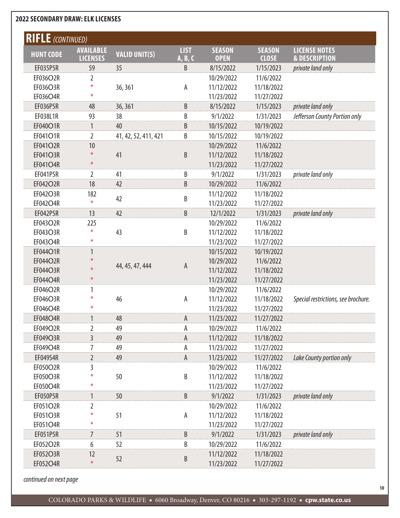| <b>RIFLE</b> (CONTINUED) |                                     |                      |                        |                              |                               |                                                  |
|--------------------------|-------------------------------------|----------------------|------------------------|------------------------------|-------------------------------|--------------------------------------------------|
| <b>HUNT CODE</b>         | <b>AVAILABLE</b><br><b>LICENSES</b> | <b>VALID UNIT(S)</b> | <b>LIST</b><br>A, B, C | <b>SEASON</b><br><b>OPEN</b> | <b>SEASON</b><br><b>CLOSE</b> | <b>LICENSE NOTES</b><br><b>&amp; DESCRIPTION</b> |
| EF035P5R                 | 59                                  | 35                   | B                      | 8/15/2022                    | 1/15/2023                     | private land only                                |
| EF036O2R                 | 2                                   |                      |                        | 10/29/2022                   | 11/6/2022                     |                                                  |
| EF036O3R                 | ⋇                                   | 36, 361              | Α                      | 11/12/2022                   | 11/18/2022                    |                                                  |
| EF036O4R                 | ⋇                                   |                      |                        | 11/23/2022                   | 11/27/2022                    |                                                  |
| <b>EF036P5R</b>          | 48                                  | 36, 361              | B                      | 8/15/2022                    | 1/15/2023                     | private land only                                |
| EF038L1R                 | 93                                  | 38                   | B                      | 9/1/2022                     | 1/31/2023                     | Jefferson County Portion only                    |
| EF040O1R                 | $\mathbf{1}$                        | 40                   | B                      | 10/15/2022                   | 10/19/2022                    |                                                  |
| EF041O1R                 | $\overline{2}$                      | 41, 42, 52, 411, 421 | B                      | 10/15/2022                   | 10/19/2022                    |                                                  |
| EF041O2R                 | 10                                  |                      |                        | 10/29/2022                   | 11/6/2022                     |                                                  |
| EF041O3R                 | $\ast$                              | 41                   | B                      | 11/12/2022                   | 11/18/2022                    |                                                  |
| EF041O4R                 | $\ast$                              |                      |                        | 11/23/2022                   | 11/27/2022                    |                                                  |
| EF041P5R                 | $\overline{2}$                      | 41                   | B                      | 9/1/2022                     | 1/31/2023                     | private land only                                |
| EF042O2R                 | 18                                  | 42                   | B                      | 10/29/2022                   | 11/6/2022                     |                                                  |
| EF042O3R                 | 182                                 |                      |                        | 11/12/2022                   | 11/18/2022                    |                                                  |
| EF042O4R                 | $\ast$                              | 42                   | B                      | 11/23/2022                   | 11/27/2022                    |                                                  |
| <b>EF042P5R</b>          | 13                                  | 42                   | B                      | 12/1/2022                    | 1/31/2023                     | private land only                                |
| EF043O2R                 | 225                                 |                      |                        | 10/29/2022                   | 11/6/2022                     |                                                  |
| EF043O3R                 | ⋇                                   | 43                   | B                      | 11/12/2022                   | 11/18/2022                    |                                                  |
| EF043O4R                 | $\ast$                              |                      |                        | 11/23/2022                   | 11/27/2022                    |                                                  |
| EF044O1R                 | 1                                   |                      |                        | 10/15/2022                   | 10/19/2022                    |                                                  |
| EF044O2R                 | ⋇                                   |                      |                        | 10/29/2022                   | 11/6/2022                     |                                                  |
| EF044O3R                 | $\ast$                              | 44, 45, 47, 444      | A                      | 11/12/2022                   | 11/18/2022                    |                                                  |
| EF044O4R                 | $\ast$                              |                      |                        | 11/23/2022                   | 11/27/2022                    |                                                  |
| EF046O2R                 | 1                                   |                      |                        | 10/29/2022                   | 11/6/2022                     |                                                  |
| EF046O3R                 | $\ast$                              | 46                   | А                      | 11/12/2022                   | 11/18/2022                    | Special restrictions, see brochure.              |
| EF046O4R                 | $\ast$                              |                      |                        | 11/23/2022                   | 11/27/2022                    |                                                  |
| <b>EF048O4R</b>          | 1                                   | 48                   | A                      | 11/23/2022                   | 11/27/2022                    |                                                  |
| EF049O2R                 | 2                                   | 49                   | А                      | 10/29/2022                   | 11/6/2022                     |                                                  |
| EF049O3R                 | 3                                   | 49                   | A                      | 11/12/2022                   | 11/18/2022                    |                                                  |
| EF049O4R                 | 7                                   | 49                   | Α                      | 11/23/2022                   | 11/27/2022                    |                                                  |
| EF049S4R                 | $\overline{2}$                      | 49                   | $\mathsf{A}$           | 11/23/2022                   | 11/27/2022                    | Lake County portion only                         |
| EF050O2R                 | 3                                   |                      |                        | 10/29/2022                   | 11/6/2022                     |                                                  |
| EF050O3R                 |                                     | 50                   | B                      | 11/12/2022                   | 11/18/2022                    |                                                  |
| EF050O4R                 | ⋇                                   |                      |                        | 11/23/2022                   | 11/27/2022                    |                                                  |
| EF050P5R                 | $\mathbf{1}$                        | 50                   | B                      | 9/1/2022                     | 1/31/2023                     | private land only                                |
| EF051O2R                 | 2                                   |                      |                        | 10/29/2022                   | 11/6/2022                     |                                                  |
| EF051O3R                 | ⋇                                   | 51                   | A                      | 11/12/2022                   | 11/18/2022                    |                                                  |
| EF051O4R                 | $\ast$                              |                      |                        | 11/23/2022                   | 11/27/2022                    |                                                  |
| EF051P5R                 | 7                                   | 51                   | B                      | 9/1/2022                     | 1/31/2023                     | private land only                                |
| EF052O2R                 | 6                                   | 52                   | B                      | 10/29/2022                   | 11/6/2022                     |                                                  |
| EF052O3R                 | 12                                  |                      |                        | 11/12/2022                   | 11/18/2022                    |                                                  |
| EF052O4R                 | $\ast$                              | 52                   | B                      |                              |                               |                                                  |
|                          |                                     |                      |                        | 11/23/2022                   | 11/27/2022                    |                                                  |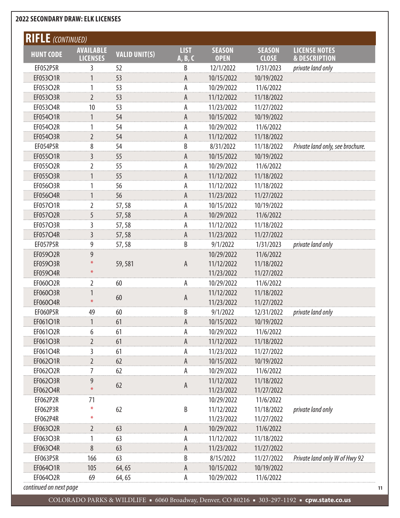| <b>RIFLE</b> (CONTINUED) |                                     |                      |                        |                              |                               |                                                  |
|--------------------------|-------------------------------------|----------------------|------------------------|------------------------------|-------------------------------|--------------------------------------------------|
| <b>HUNT CODE</b>         | <b>AVAILABLE</b><br><b>LICENSES</b> | <b>VALID UNIT(S)</b> | <b>LIST</b><br>A, B, C | <b>SEASON</b><br><b>OPEN</b> | <b>SEASON</b><br><b>CLOSE</b> | <b>LICENSE NOTES</b><br><b>&amp; DESCRIPTION</b> |
| EF052P5R                 | 3                                   | 52                   | B                      | 12/1/2022                    | 1/31/2023                     | private land only                                |
| EF053O1R                 |                                     | 53                   | A                      | 10/15/2022                   | 10/19/2022                    |                                                  |
| EF053O2R                 | 1                                   | 53                   | А                      | 10/29/2022                   | 11/6/2022                     |                                                  |
| EF053O3R                 | $\overline{2}$                      | 53                   | A                      | 11/12/2022                   | 11/18/2022                    |                                                  |
| EF053O4R                 | 10                                  | 53                   | А                      | 11/23/2022                   | 11/27/2022                    |                                                  |
| EF054O1R                 | 1                                   | 54                   | A                      | 10/15/2022                   | 10/19/2022                    |                                                  |
| EF054O2R                 | 1                                   | 54                   | А                      | 10/29/2022                   | 11/6/2022                     |                                                  |
| EF054O3R                 | $\overline{2}$                      | 54                   | A                      | 11/12/2022                   | 11/18/2022                    |                                                  |
| EF054P5R                 | 8                                   | 54                   | B                      | 8/31/2022                    | 11/18/2022                    | Private land only, see brochure.                 |
| EF055O1R                 | $\overline{3}$                      | 55                   | А                      | 10/15/2022                   | 10/19/2022                    |                                                  |
| EF055O2R                 | $\overline{2}$                      | 55                   | А                      | 10/29/2022                   | 11/6/2022                     |                                                  |
| EF055O3R                 | 1                                   | 55                   | A                      | 11/12/2022                   | 11/18/2022                    |                                                  |
| EF056O3R                 |                                     | 56                   | А                      | 11/12/2022                   | 11/18/2022                    |                                                  |
| EF056O4R                 | 1                                   | 56                   | A                      | 11/23/2022                   | 11/27/2022                    |                                                  |
| EF057O1R                 | 2                                   | 57,58                | А                      | 10/15/2022                   | 10/19/2022                    |                                                  |
| EF057O2R                 | 5                                   | 57,58                | A                      | 10/29/2022                   | 11/6/2022                     |                                                  |
| EF057O3R                 | 3                                   | 57,58                | А                      | 11/12/2022                   | 11/18/2022                    |                                                  |
| EF057O4R                 | $\overline{3}$                      | 57,58                | A                      | 11/23/2022                   | 11/27/2022                    |                                                  |
| <b>EF057P5R</b>          | 9                                   | 57,58                | B                      | 9/1/2022                     | 1/31/2023                     | private land only                                |
| EF059O2R                 | 9                                   |                      |                        | 10/29/2022                   | 11/6/2022                     |                                                  |
| EF059O3R                 |                                     | 59,581               | A                      | 11/12/2022                   | 11/18/2022                    |                                                  |
| EF059O4R                 | $\ast$                              |                      |                        | 11/23/2022                   | 11/27/2022                    |                                                  |
| EF060O2R                 | $\overline{2}$                      | 60                   | А                      | 10/29/2022                   | 11/6/2022                     |                                                  |
| EF060O3R                 |                                     |                      |                        | 11/12/2022                   | 11/18/2022                    |                                                  |
| EF060O4R                 | ⋇                                   | 60                   | A                      | 11/23/2022                   | 11/27/2022                    |                                                  |
| <b>EF060P5R</b>          | 49                                  | 60                   | B                      | 9/1/2022                     | 12/31/2022                    | private land only                                |
| EF061O1R                 |                                     | 61                   | A                      | 10/15/2022                   | 10/19/2022                    |                                                  |
| EF061O2R                 | 6                                   | 61                   | А                      | 10/29/2022                   | 11/6/2022                     |                                                  |
| EF061O3R                 | $\overline{2}$                      | 61                   | A                      | 11/12/2022                   | 11/18/2022                    |                                                  |
| EF061O4R                 | 3                                   | 61                   | А                      | 11/23/2022                   | 11/27/2022                    |                                                  |
| EF062O1R                 | $\overline{2}$                      | 62                   | A                      | 10/15/2022                   | 10/19/2022                    |                                                  |
| EF062O2R                 | 7                                   | 62                   | А                      | 10/29/2022                   | 11/6/2022                     |                                                  |
| EF062O3R                 | 9                                   |                      |                        | 11/12/2022                   | 11/18/2022                    |                                                  |
| EF062O4R                 | $\ast$                              | 62                   | A                      | 11/23/2022                   | 11/27/2022                    |                                                  |
| EF062P2R                 | 71                                  |                      |                        | 10/29/2022                   | 11/6/2022                     |                                                  |
| EF062P3R                 | $\ast$                              | 62                   | B                      | 11/12/2022                   | 11/18/2022                    | private land only                                |
| EF062P4R                 | ⋇                                   |                      |                        | 11/23/2022                   | 11/27/2022                    |                                                  |
| EF063O2R                 | $\overline{2}$                      | 63                   | A                      | 10/29/2022                   | 11/6/2022                     |                                                  |
| EF063O3R                 |                                     | 63                   | А                      | 11/12/2022                   | 11/18/2022                    |                                                  |
| EF063O4R                 | 8                                   | 63                   | A                      | 11/23/2022                   | 11/27/2022                    |                                                  |
| EF063P5R                 | 166                                 | 63                   | B                      | 8/15/2022                    | 11/27/2022                    | Private land only W of Hwy 92                    |
| EF064O1R                 | 105                                 | 64,65                | A                      | 10/15/2022                   | 10/19/2022                    |                                                  |
| EF064O2R                 | 69                                  | 64,65                | А                      | 10/29/2022                   | 11/6/2022                     |                                                  |
| continued on next page   |                                     |                      |                        |                              |                               |                                                  |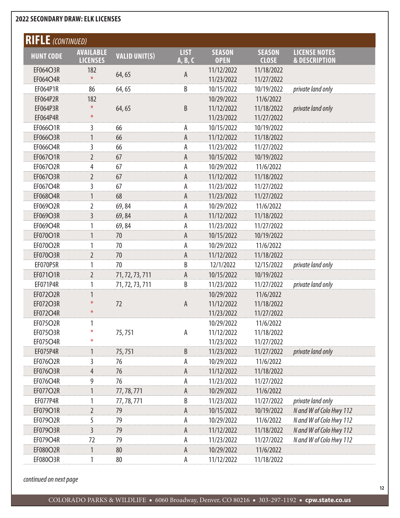| <b>RIFLE</b> (CONTINUED) |                                     |                      |                        |                              |                               |                                                  |
|--------------------------|-------------------------------------|----------------------|------------------------|------------------------------|-------------------------------|--------------------------------------------------|
| <b>HUNT CODE</b>         | <b>AVAILABLE</b><br><b>LICENSES</b> | <b>VALID UNIT(S)</b> | <b>LIST</b><br>A, B, C | <b>SEASON</b><br><b>OPEN</b> | <b>SEASON</b><br><b>CLOSE</b> | <b>LICENSE NOTES</b><br><b>&amp; DESCRIPTION</b> |
| EF064O3R                 | 182                                 |                      |                        | 11/12/2022                   | 11/18/2022                    |                                                  |
| EF064O4R                 | $\ast$                              | 64,65                | A                      | 11/23/2022                   | 11/27/2022                    |                                                  |
| EF064P1R                 | 86                                  | 64,65                | B                      | 10/15/2022                   | 10/19/2022                    | private land only                                |
| EF064P2R                 | 182                                 |                      |                        | 10/29/2022                   | 11/6/2022                     |                                                  |
| EF064P3R                 | ⋇                                   | 64,65                | B                      | 11/12/2022                   | 11/18/2022                    | private land only                                |
| EF064P4R                 | $\ast$                              |                      |                        | 11/23/2022                   | 11/27/2022                    |                                                  |
| EF066O1R                 | 3                                   | 66                   | A                      | 10/15/2022                   | 10/19/2022                    |                                                  |
| EF066O3R                 | $\mathbf{1}$                        | 66                   | A                      | 11/12/2022                   | 11/18/2022                    |                                                  |
| EF066O4R                 | 3                                   | 66                   | А                      | 11/23/2022                   | 11/27/2022                    |                                                  |
| EF067O1R                 | $\overline{2}$                      | 67                   | A                      | 10/15/2022                   | 10/19/2022                    |                                                  |
| EF067O2R                 | 4                                   | 67                   | А                      | 10/29/2022                   | 11/6/2022                     |                                                  |
| EF067O3R                 | $\overline{2}$                      | 67                   | A                      | 11/12/2022                   | 11/18/2022                    |                                                  |
| EF067O4R                 | 3                                   | 67                   | А                      | 11/23/2022                   | 11/27/2022                    |                                                  |
| EF068O4R                 | $\mathbf{1}$                        | 68                   | A                      | 11/23/2022                   | 11/27/2022                    |                                                  |
| EF069O2R                 | 2                                   | 69,84                | А                      | 10/29/2022                   | 11/6/2022                     |                                                  |
| EF069O3R                 | $\overline{3}$                      | 69,84                | A                      | 11/12/2022                   | 11/18/2022                    |                                                  |
| EF069O4R                 |                                     | 69,84                | А                      | 11/23/2022                   | 11/27/2022                    |                                                  |
| EF070O1R                 | 1                                   | 70                   | A                      | 10/15/2022                   | 10/19/2022                    |                                                  |
| EF070O2R                 | 1                                   | 70                   | А                      | 10/29/2022                   | 11/6/2022                     |                                                  |
| EF070O3R                 | $\overline{2}$                      | 70                   | A                      | 11/12/2022                   | 11/18/2022                    |                                                  |
| EF070P5R                 | 1                                   | 70                   | B                      | 12/1/2022                    | 12/15/2022                    | private land only                                |
| EF071O1R                 | $\overline{2}$                      | 71, 72, 73, 711      | A                      | 10/15/2022                   | 10/19/2022                    |                                                  |
| EF071P4R                 |                                     | 71, 72, 73, 711      | B                      | 11/23/2022                   | 11/27/2022                    | private land only                                |
| EF072O2R                 |                                     |                      |                        | 10/29/2022                   | 11/6/2022                     |                                                  |
| EF072O3R                 |                                     | 72                   | $\mathsf{A}$           | 11/12/2022                   | 11/18/2022                    |                                                  |
| EF072O4R                 | $\ast$                              |                      |                        | 11/23/2022                   | 11/27/2022                    |                                                  |
| EF075O2R                 |                                     |                      |                        | 10/29/2022                   | 11/6/2022                     |                                                  |
| EF075O3R                 | $\ast$                              | 75,751               | А                      | 11/12/2022                   | 11/18/2022                    |                                                  |
| EF075O4R                 | $\ast$                              |                      |                        | 11/23/2022                   | 11/27/2022                    |                                                  |
| EF075P4R                 | 1                                   | 75,751               | B                      | 11/23/2022                   | 11/27/2022                    | private land only                                |
| EF076O2R                 | 3                                   | 76                   | А                      | 10/29/2022                   | 11/6/2022                     |                                                  |
| EF076O3R                 | $\overline{4}$                      | 76                   | A                      | 11/12/2022                   | 11/18/2022                    |                                                  |
| EF076O4R                 | 9                                   | 76                   | А                      | 11/23/2022                   | 11/27/2022                    |                                                  |
| EF077O2R                 | 1                                   | 77, 78, 771          | A                      | 10/29/2022                   | 11/6/2022                     |                                                  |
| EF077P4R                 |                                     | 77, 78, 771          | B                      | 11/23/2022                   | 11/27/2022                    | private land only                                |
| EF079O1R                 | 2                                   | 79                   | A                      | 10/15/2022                   | 10/19/2022                    | N and W of Colo Hwy 112                          |
| EF079O2R                 | 5                                   | 79                   | А                      | 10/29/2022                   | 11/6/2022                     | N and W of Colo Hwy 112                          |
| EF079O3R                 | $\overline{3}$                      | 79                   | A                      | 11/12/2022                   | 11/18/2022                    | N and W of Colo Hwy 112                          |
| EF079O4R                 | 72                                  | 79                   | А                      | 11/23/2022                   | 11/27/2022                    | N and W of Colo Hwy 112                          |
| EF080O2R                 | 1                                   | 80                   | A                      | 10/29/2022                   | 11/6/2022                     |                                                  |
| EF080O3R                 | 1                                   | 80                   | A                      | 11/12/2022                   | 11/18/2022                    |                                                  |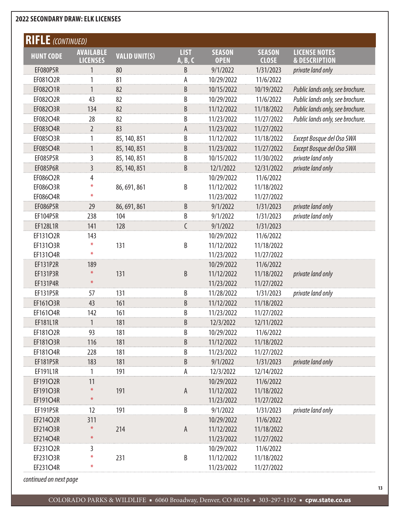| <b>RIFLE</b> (CONTINUED) |                                     |                      |                        |                              |                               |                                                  |
|--------------------------|-------------------------------------|----------------------|------------------------|------------------------------|-------------------------------|--------------------------------------------------|
| <b>HUNT CODE</b>         | <b>AVAILABLE</b><br><b>LICENSES</b> | <b>VALID UNIT(S)</b> | <b>LIST</b><br>A, B, C | <b>SEASON</b><br><b>OPEN</b> | <b>SEASON</b><br><b>CLOSE</b> | <b>LICENSE NOTES</b><br><b>&amp; DESCRIPTION</b> |
| <b>EF080P5R</b>          | 1                                   | 80                   | B                      | 9/1/2022                     | 1/31/2023                     | private land only                                |
| EF081O2R                 | 1                                   | 81                   | А                      | 10/29/2022                   | 11/6/2022                     |                                                  |
| EF082O1R                 | 1                                   | 82                   | B                      | 10/15/2022                   | 10/19/2022                    | Public lands only, see brochure.                 |
| EF082O2R                 | 43                                  | 82                   | B                      | 10/29/2022                   | 11/6/2022                     | Public lands only, see brochure.                 |
| EF082O3R                 | 134                                 | 82                   | B                      | 11/12/2022                   | 11/18/2022                    | Public lands only, see brochure.                 |
| EF082O4R                 | 28                                  | 82                   | B                      | 11/23/2022                   | 11/27/2022                    | Public lands only, see brochure.                 |
| EF083O4R                 | $\overline{2}$                      | 83                   | A                      | 11/23/2022                   | 11/27/2022                    |                                                  |
| EF085O3R                 | 1                                   | 85, 140, 851         | B                      | 11/12/2022                   | 11/18/2022                    | Except Bosque del Oso SWA                        |
| EF085O4R                 | 1                                   | 85, 140, 851         | B                      | 11/23/2022                   | 11/27/2022                    | Except Bosque del Oso SWA                        |
| <b>EF085P5R</b>          | 3                                   | 85, 140, 851         | B                      | 10/15/2022                   | 11/30/2022                    | private land only                                |
| <b>EF085P6R</b>          | $\overline{3}$                      | 85, 140, 851         | B                      | 12/1/2022                    | 12/31/2022                    | private land only                                |
| EF086O2R                 | 4                                   |                      |                        | 10/29/2022                   | 11/6/2022                     |                                                  |
| EF086O3R                 | ⋇                                   | 86, 691, 861         | B                      | 11/12/2022                   | 11/18/2022                    |                                                  |
| EF086O4R                 | $\ast$                              |                      |                        | 11/23/2022                   | 11/27/2022                    |                                                  |
| EF086P5R                 | 29                                  | 86, 691, 861         | $\sf B$                | 9/1/2022                     | 1/31/2023                     | private land only                                |
| EF104P5R                 | 238                                 | 104                  | B                      | 9/1/2022                     | 1/31/2023                     | private land only                                |
| EF128L1R                 | 141                                 | 128                  | C                      | 9/1/2022                     | 1/31/2023                     |                                                  |
| EF131O2R                 | 143                                 |                      |                        | 10/29/2022                   | 11/6/2022                     |                                                  |
| EF131O3R                 | ⋇                                   | 131                  | B                      | 11/12/2022                   | 11/18/2022                    |                                                  |
| EF131O4R                 | $\ast$                              |                      |                        | 11/23/2022                   | 11/27/2022                    |                                                  |
| EF131P2R                 | 189                                 |                      |                        | 10/29/2022                   | 11/6/2022                     |                                                  |
| EF131P3R                 | $\ast$                              | 131                  | B                      | 11/12/2022                   | 11/18/2022                    | private land only                                |
| EF131P4R                 | $\ast$                              |                      |                        | 11/23/2022                   | 11/27/2022                    |                                                  |
| EF131P5R                 | 57                                  | 131                  | B                      | 11/28/2022                   | 1/31/2023                     | private land only                                |
| EF161O3R                 | 43                                  | 161                  | B                      | 11/12/2022                   | 11/18/2022                    |                                                  |
| EF161O4R                 | 142                                 | 161                  | B                      | 11/23/2022                   | 11/27/2022                    |                                                  |
| EF181L1R                 | 1                                   | 181                  | B                      | 12/3/2022                    | 12/11/2022                    |                                                  |
| EF181O2R                 | 93                                  | 181                  | B                      | 10/29/2022                   | 11/6/2022                     |                                                  |
| <b>EF181O3R</b>          | 116                                 | 181                  | B                      | 11/12/2022                   | 11/18/2022                    |                                                  |
| EF181O4R                 | 228                                 | 181                  | B                      | 11/23/2022                   | 11/27/2022                    |                                                  |
| EF181P5R                 | 183                                 | 181                  | B                      | 9/1/2022                     | 1/31/2023                     | private land only                                |
| EF191L1R                 | 1                                   | 191                  | А                      | 12/3/2022                    | 12/14/2022                    |                                                  |
| EF191O2R                 | 11                                  |                      |                        | 10/29/2022                   | 11/6/2022                     |                                                  |
| EF191O3R                 | $\ast$                              | 191                  | A                      | 11/12/2022                   | 11/18/2022                    |                                                  |
| EF191O4R                 | $\divideontimes$                    |                      |                        | 11/23/2022                   | 11/27/2022                    |                                                  |
| EF191P5R                 | 12                                  | 191                  | $\sf B$                | 9/1/2022                     | 1/31/2023                     | private land only                                |
| EF214O2R                 | 311                                 |                      |                        | 10/29/2022                   | 11/6/2022                     |                                                  |
| EF214O3R                 | $\ast$                              | 214                  | A                      | 11/12/2022                   | 11/18/2022                    |                                                  |
| EF214O4R                 | $\divideontimes$                    |                      |                        | 11/23/2022                   | 11/27/2022                    |                                                  |
| EF231O2R                 | 3                                   |                      |                        | 10/29/2022                   | 11/6/2022                     |                                                  |
| EF231O3R                 | $\ast$                              | 231                  | B                      | 11/12/2022                   | 11/18/2022                    |                                                  |
| EF231O4R                 | ⋇                                   |                      |                        | 11/23/2022                   | 11/27/2022                    |                                                  |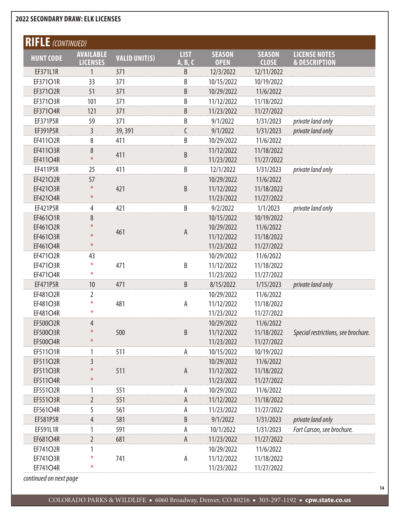| <b>RIFLE</b> (CONTINUED) |                                     |                      |                        |                              |                               |                                                  |
|--------------------------|-------------------------------------|----------------------|------------------------|------------------------------|-------------------------------|--------------------------------------------------|
| <b>HUNT CODE</b>         | <b>AVAILABLE</b><br><b>LICENSES</b> | <b>VALID UNIT(S)</b> | <b>LIST</b><br>A, B, C | <b>SEASON</b><br><b>OPEN</b> | <b>SEASON</b><br><b>CLOSE</b> | <b>LICENSE NOTES</b><br><b>&amp; DESCRIPTION</b> |
| EF371L1R                 | 1                                   | 371                  | B                      | 12/3/2022                    | 12/11/2022                    |                                                  |
| EF37101R                 | 33                                  | 371                  | B                      | 10/15/2022                   | 10/19/2022                    |                                                  |
| EF371O2R                 | 51                                  | 371                  | B                      | 10/29/2022                   | 11/6/2022                     |                                                  |
| EF371O3R                 | 101                                 | 371                  | B                      | 11/12/2022                   | 11/18/2022                    |                                                  |
| EF371O4R                 | 121                                 | 371                  | B                      | 11/23/2022                   | 11/27/2022                    |                                                  |
| EF371P5R                 | 59                                  | 371                  | B                      | 9/1/2022                     | 1/31/2023                     | private land only                                |
| EF391P5R                 | $\overline{3}$                      | 39, 391              | C                      | 9/1/2022                     | 1/31/2023                     | private land only                                |
| EF411O2R                 | 8                                   | 411                  | B                      | 10/29/2022                   | 11/6/2022                     |                                                  |
| <b>EF411O3R</b>          | 8                                   |                      |                        | 11/12/2022                   | 11/18/2022                    |                                                  |
| EF411O4R                 | $\ast$                              | 411                  | B                      | 11/23/2022                   | 11/27/2022                    |                                                  |
| EF411P5R                 | 25                                  | 411                  | B                      | 12/1/2022                    | 1/31/2023                     | private land only                                |
| EF421O2R                 | 57                                  |                      |                        | 10/29/2022                   | 11/6/2022                     |                                                  |
| EF421O3R                 | $\ast$                              | 421                  | B                      | 11/12/2022                   | 11/18/2022                    |                                                  |
| EF421O4R                 | $\divideontimes$                    |                      |                        | 11/23/2022                   | 11/27/2022                    |                                                  |
| EF421P5R                 | 4                                   | 421                  | B                      | 9/2/2022                     | 1/1/2023                      | private land only                                |
| EF461O1R                 | 8                                   |                      |                        | 10/15/2022                   | 10/19/2022                    |                                                  |
| EF461O2R                 | $\ast$                              | 461                  | A                      | 10/29/2022                   | 11/6/2022                     |                                                  |
| EF461O3R                 | ⋇                                   |                      |                        | 11/12/2022                   | 11/18/2022                    |                                                  |
| EF461O4R                 | $\ast$                              |                      |                        | 11/23/2022                   | 11/27/2022                    |                                                  |
| EF471O2R                 | 43                                  |                      |                        | 10/29/2022                   | 11/6/2022                     |                                                  |
| EF471O3R                 | *                                   | 471                  | B                      | 11/12/2022                   | 11/18/2022                    |                                                  |
| EF47104R                 | $\ast$                              |                      |                        | 11/23/2022                   | 11/27/2022                    |                                                  |
| EF471P5R                 | 10                                  | 471                  | B                      | 8/15/2022                    | 1/15/2023                     | private land only                                |
| EF481O2R                 | 2                                   |                      |                        | 10/29/2022                   | 11/6/2022                     |                                                  |
| EF481O3R                 | $\ast$                              | 481                  | А                      | 11/12/2022                   | 11/18/2022                    |                                                  |
| EF481O4R                 | $\ast$                              |                      |                        | 11/23/2022                   | 11/27/2022                    |                                                  |
| EF500O2R                 | $\overline{4}$                      |                      |                        | 10/29/2022                   | 11/6/2022                     |                                                  |
| EF500O3R                 | $\ast$                              | 500                  | B                      | 11/12/2022                   | 11/18/2022                    | Special restrictions, see brochure.              |
| EF500O4R                 | $\ast$                              |                      |                        | 11/23/2022                   | 11/27/2022                    |                                                  |
| EF511O1R                 | 1                                   | 511                  | A                      | 10/15/2022                   | 10/19/2022                    |                                                  |
| EF511O2R                 | 3                                   |                      |                        | 10/29/2022                   | 11/6/2022                     |                                                  |
| <b>EF511O3R</b>          | $\ast$                              | 511                  | $\mathsf A$            | 11/12/2022                   | 11/18/2022                    |                                                  |
| <b>EF511O4R</b>          | $\ast$                              |                      |                        | 11/23/2022                   | 11/27/2022                    |                                                  |
| EF551O2R                 | 1                                   | 551                  | А                      | 10/29/2022                   | 11/6/2022                     |                                                  |
| EF551O3R                 | $\overline{2}$                      | 551                  | A                      | 11/12/2022                   | 11/18/2022                    |                                                  |
| EF561O4R                 | 5                                   | 561                  | А                      | 11/23/2022                   | 11/27/2022                    |                                                  |
| <b>EF581P5R</b>          | 4                                   | 581                  | B                      | 9/1/2022                     | 1/31/2023                     | private land only                                |
| EF591L1R                 |                                     | 591                  | А                      | 10/1/2022                    | 1/31/2023                     | Fort Carson, see brochure.                       |
| EF681O4R                 | $\overline{2}$                      | 681                  | A                      | 11/23/2022                   | 11/27/2022                    |                                                  |
| EF741O2R                 |                                     |                      |                        | 10/29/2022                   | 11/6/2022                     |                                                  |
| EF741O3R                 | ⋇                                   | 741                  | A                      | 11/12/2022                   | 11/18/2022                    |                                                  |
| EF741O4R                 | ⋇                                   |                      |                        | 11/23/2022                   | 11/27/2022                    |                                                  |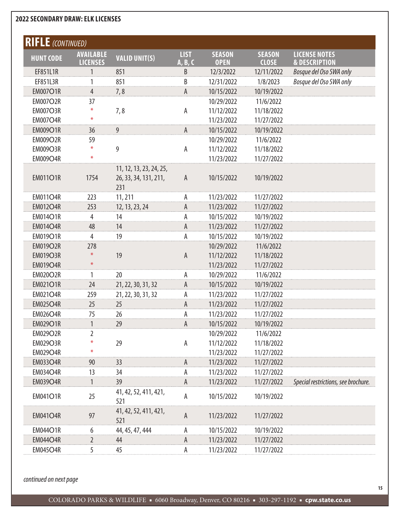| <b>RIFLE</b> (CONTINUED) |                  |                              |              |               |               |                                     |
|--------------------------|------------------|------------------------------|--------------|---------------|---------------|-------------------------------------|
| <b>HUNT CODE</b>         | <b>AVAILABLE</b> | <b>VALID UNIT(S)</b>         | <b>LIST</b>  | <b>SEASON</b> | <b>SEASON</b> | <b>LICENSE NOTES</b>                |
|                          | <b>LICENSES</b>  |                              | A, B, C      | <b>OPEN</b>   | <b>CLOSE</b>  | <b>&amp; DESCRIPTION</b>            |
| EF851L1R                 | 1                | 851                          | B            | 12/3/2022     | 12/11/2022    | Bosque del Oso SWA only             |
| EF851L3R                 | 1                | 851                          | B            | 12/31/2022    | 1/8/2023      | Bosque del Oso SWA only             |
| <b>EM007O1R</b>          | $\overline{4}$   | 7,8                          | А            | 10/15/2022    | 10/19/2022    |                                     |
| <b>EM007O2R</b>          | 37               |                              |              | 10/29/2022    | 11/6/2022     |                                     |
| <b>EM007O3R</b>          | ⋇                | 7,8                          | A            | 11/12/2022    | 11/18/2022    |                                     |
| <b>EM007O4R</b>          | $\ast$           |                              |              | 11/23/2022    | 11/27/2022    |                                     |
| <b>EM009O1R</b>          | 36               | 9                            | $\mathsf{A}$ | 10/15/2022    | 10/19/2022    |                                     |
| <b>EM009O2R</b>          | 59               |                              |              | 10/29/2022    | 11/6/2022     |                                     |
| <b>EM009O3R</b>          | $\divideontimes$ | 9                            | A            | 11/12/2022    | 11/18/2022    |                                     |
| <b>EM009O4R</b>          | $\ast$           |                              |              | 11/23/2022    | 11/27/2022    |                                     |
|                          |                  | 11, 12, 13, 23, 24, 25,      |              |               |               |                                     |
| <b>EM011O1R</b>          | 1754             | 26, 33, 34, 131, 211,        | A            | 10/15/2022    | 10/19/2022    |                                     |
|                          |                  | 231                          |              |               |               |                                     |
| <b>EM011O4R</b>          | 223              | 11, 211                      | А            | 11/23/2022    | 11/27/2022    |                                     |
| <b>EM012O4R</b>          | 253              | 12, 13, 23, 24               | A            | 11/23/2022    | 11/27/2022    |                                     |
| <b>EM014O1R</b>          | $\overline{4}$   | 14                           | А            | 10/15/2022    | 10/19/2022    |                                     |
| <b>EM014O4R</b>          | 48               | 14                           | $\mathsf A$  | 11/23/2022    | 11/27/2022    |                                     |
| <b>EM019O1R</b>          | 4                | 19                           | А            | 10/15/2022    | 10/19/2022    |                                     |
| <b>EM019O2R</b>          | 278              |                              |              | 10/29/2022    | 11/6/2022     |                                     |
| <b>EM019O3R</b>          | $\ast$           | 19                           | A            | 11/12/2022    | 11/18/2022    |                                     |
| <b>EM019O4R</b>          | $\divideontimes$ |                              |              | 11/23/2022    | 11/27/2022    |                                     |
| <b>EM020O2R</b>          | 1                | 20                           | A            | 10/29/2022    | 11/6/2022     |                                     |
| <b>EM021O1R</b>          | 24               | 21, 22, 30, 31, 32           | A            | 10/15/2022    | 10/19/2022    |                                     |
| <b>EM021O4R</b>          | 259              | 21, 22, 30, 31, 32           | А            | 11/23/2022    | 11/27/2022    |                                     |
| <b>EM025O4R</b>          | 25               | 25                           | Α            | 11/23/2022    | 11/27/2022    |                                     |
| <b>EM026O4R</b>          | 75               | 26                           | А            | 11/23/2022    | 11/27/2022    |                                     |
| <b>EM029O1R</b>          | $\mathbf{1}$     | 29                           | А            | 10/15/2022    | 10/19/2022    |                                     |
| <b>EM029O2R</b>          | 2                |                              |              | 10/29/2022    | 11/6/2022     |                                     |
| <b>EM029O3R</b>          | ⋇                | 29                           | A            | 11/12/2022    | 11/18/2022    |                                     |
| <b>EM029O4R</b>          | ⋇                |                              |              | 11/23/2022    | 11/27/2022    |                                     |
| <b>EM033O4R</b>          | 90               | 33                           | $\mathsf{A}$ | 11/23/2022    | 11/27/2022    |                                     |
| <b>EM034O4R</b>          | 13               | 34                           | А            | 11/23/2022    | 11/27/2022    |                                     |
| <b>EM039O4R</b>          | 1                | 39                           | А            | 11/23/2022    | 11/27/2022    | Special restrictions, see brochure. |
| <b>EM041O1R</b>          | 25               | 41, 42, 52, 411, 421,<br>521 | А            | 10/15/2022    | 10/19/2022    |                                     |
| <b>EM041O4R</b>          | 97               | 41, 42, 52, 411, 421,<br>521 | A            | 11/23/2022    | 11/27/2022    |                                     |
| <b>EM044O1R</b>          | 6                | 44, 45, 47, 444              | А            | 10/15/2022    | 10/19/2022    |                                     |
| <b>EM044O4R</b>          | $\overline{2}$   | 44                           | A            | 11/23/2022    | 11/27/2022    |                                     |
| <b>EM045O4R</b>          | 5                | 45                           | А            | 11/23/2022    | 11/27/2022    |                                     |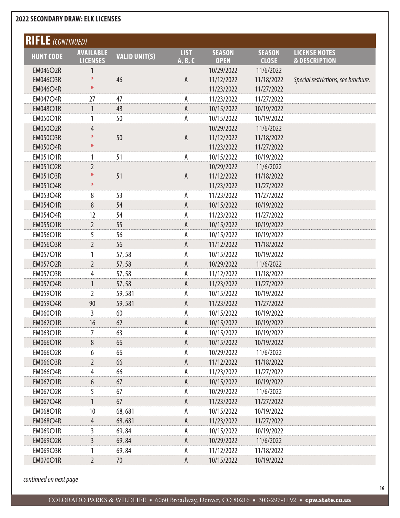| <b>RIFLE</b> (CONTINUED)<br><b>LIST</b><br><b>SEASON</b><br><b>SEASON</b><br><b>AVAILABLE</b><br><b>LICENSE NOTES</b><br><b>VALID UNIT(S)</b><br><b>HUNT CODE</b><br><b>LICENSES</b><br>A, B, C<br><b>OPEN</b><br><b>CLOSE</b><br><b>&amp; DESCRIPTION</b><br><b>EM046O2R</b><br>1<br>10/29/2022<br>11/6/2022<br>$\ast$<br><b>EM046O3R</b><br>46<br>A<br>11/12/2022<br>11/18/2022<br>Special restrictions, see brochure.<br>$\ast$<br><b>EM046O4R</b><br>11/23/2022<br>11/27/2022<br><b>EM047O4R</b><br>27<br>47<br>А<br>11/23/2022<br>11/27/2022<br><b>EM048O1R</b><br>48<br>A<br>10/15/2022<br>10/19/2022<br>1<br><b>EM050O1R</b><br>50<br>Α<br>10/15/2022<br>10/19/2022<br>1<br><b>EM050O2R</b><br>4<br>10/29/2022<br>11/6/2022<br>50<br><b>EM050O3R</b><br>Α<br>11/18/2022<br>11/12/2022<br>$\ast$<br><b>EM050O4R</b><br>11/23/2022<br>11/27/2022<br><b>EM051O1R</b><br>51<br>10/15/2022<br>10/19/2022<br>А<br>1<br><b>EM051O2R</b><br>$\overline{2}$<br>10/29/2022<br>11/6/2022<br>$\ast$<br><b>EM051O3R</b><br>51<br>11/12/2022<br>11/18/2022<br>A<br>$\ast$<br><b>EM051O4R</b><br>11/23/2022<br>11/27/2022<br><b>EM053O4R</b><br>8<br>53<br>А<br>11/23/2022<br>11/27/2022<br>8<br><b>EM054O1R</b><br>54<br>A<br>10/15/2022<br>10/19/2022<br><b>EM054O4R</b><br>54<br>12<br>А<br>11/23/2022<br>11/27/2022<br><b>EM055O1R</b><br>$\overline{2}$<br>55<br>A<br>10/15/2022<br>10/19/2022<br><b>EM056O1R</b><br>5<br>56<br>А<br>10/15/2022<br>10/19/2022<br><b>EM056O3R</b><br>$\overline{2}$<br>56<br>Α<br>11/12/2022<br>11/18/2022<br><b>EM057O1R</b><br>1<br>А<br>10/15/2022<br>10/19/2022<br>57,58<br><b>EM057O2R</b><br>$\overline{2}$<br>A<br>10/29/2022<br>11/6/2022<br>57,58<br><b>EM057O3R</b><br>4<br>А<br>11/12/2022<br>11/18/2022<br>57,58<br>$\mathbf{1}$<br><b>EM057O4R</b><br>Α<br>57,58<br>11/23/2022<br>11/27/2022 |
|---------------------------------------------------------------------------------------------------------------------------------------------------------------------------------------------------------------------------------------------------------------------------------------------------------------------------------------------------------------------------------------------------------------------------------------------------------------------------------------------------------------------------------------------------------------------------------------------------------------------------------------------------------------------------------------------------------------------------------------------------------------------------------------------------------------------------------------------------------------------------------------------------------------------------------------------------------------------------------------------------------------------------------------------------------------------------------------------------------------------------------------------------------------------------------------------------------------------------------------------------------------------------------------------------------------------------------------------------------------------------------------------------------------------------------------------------------------------------------------------------------------------------------------------------------------------------------------------------------------------------------------------------------------------------------------------------------------------------------------------------------------------------------------------------------------------------------------|
|                                                                                                                                                                                                                                                                                                                                                                                                                                                                                                                                                                                                                                                                                                                                                                                                                                                                                                                                                                                                                                                                                                                                                                                                                                                                                                                                                                                                                                                                                                                                                                                                                                                                                                                                                                                                                                       |
|                                                                                                                                                                                                                                                                                                                                                                                                                                                                                                                                                                                                                                                                                                                                                                                                                                                                                                                                                                                                                                                                                                                                                                                                                                                                                                                                                                                                                                                                                                                                                                                                                                                                                                                                                                                                                                       |
|                                                                                                                                                                                                                                                                                                                                                                                                                                                                                                                                                                                                                                                                                                                                                                                                                                                                                                                                                                                                                                                                                                                                                                                                                                                                                                                                                                                                                                                                                                                                                                                                                                                                                                                                                                                                                                       |
|                                                                                                                                                                                                                                                                                                                                                                                                                                                                                                                                                                                                                                                                                                                                                                                                                                                                                                                                                                                                                                                                                                                                                                                                                                                                                                                                                                                                                                                                                                                                                                                                                                                                                                                                                                                                                                       |
|                                                                                                                                                                                                                                                                                                                                                                                                                                                                                                                                                                                                                                                                                                                                                                                                                                                                                                                                                                                                                                                                                                                                                                                                                                                                                                                                                                                                                                                                                                                                                                                                                                                                                                                                                                                                                                       |
|                                                                                                                                                                                                                                                                                                                                                                                                                                                                                                                                                                                                                                                                                                                                                                                                                                                                                                                                                                                                                                                                                                                                                                                                                                                                                                                                                                                                                                                                                                                                                                                                                                                                                                                                                                                                                                       |
|                                                                                                                                                                                                                                                                                                                                                                                                                                                                                                                                                                                                                                                                                                                                                                                                                                                                                                                                                                                                                                                                                                                                                                                                                                                                                                                                                                                                                                                                                                                                                                                                                                                                                                                                                                                                                                       |
|                                                                                                                                                                                                                                                                                                                                                                                                                                                                                                                                                                                                                                                                                                                                                                                                                                                                                                                                                                                                                                                                                                                                                                                                                                                                                                                                                                                                                                                                                                                                                                                                                                                                                                                                                                                                                                       |
|                                                                                                                                                                                                                                                                                                                                                                                                                                                                                                                                                                                                                                                                                                                                                                                                                                                                                                                                                                                                                                                                                                                                                                                                                                                                                                                                                                                                                                                                                                                                                                                                                                                                                                                                                                                                                                       |
|                                                                                                                                                                                                                                                                                                                                                                                                                                                                                                                                                                                                                                                                                                                                                                                                                                                                                                                                                                                                                                                                                                                                                                                                                                                                                                                                                                                                                                                                                                                                                                                                                                                                                                                                                                                                                                       |
|                                                                                                                                                                                                                                                                                                                                                                                                                                                                                                                                                                                                                                                                                                                                                                                                                                                                                                                                                                                                                                                                                                                                                                                                                                                                                                                                                                                                                                                                                                                                                                                                                                                                                                                                                                                                                                       |
|                                                                                                                                                                                                                                                                                                                                                                                                                                                                                                                                                                                                                                                                                                                                                                                                                                                                                                                                                                                                                                                                                                                                                                                                                                                                                                                                                                                                                                                                                                                                                                                                                                                                                                                                                                                                                                       |
|                                                                                                                                                                                                                                                                                                                                                                                                                                                                                                                                                                                                                                                                                                                                                                                                                                                                                                                                                                                                                                                                                                                                                                                                                                                                                                                                                                                                                                                                                                                                                                                                                                                                                                                                                                                                                                       |
|                                                                                                                                                                                                                                                                                                                                                                                                                                                                                                                                                                                                                                                                                                                                                                                                                                                                                                                                                                                                                                                                                                                                                                                                                                                                                                                                                                                                                                                                                                                                                                                                                                                                                                                                                                                                                                       |
|                                                                                                                                                                                                                                                                                                                                                                                                                                                                                                                                                                                                                                                                                                                                                                                                                                                                                                                                                                                                                                                                                                                                                                                                                                                                                                                                                                                                                                                                                                                                                                                                                                                                                                                                                                                                                                       |
|                                                                                                                                                                                                                                                                                                                                                                                                                                                                                                                                                                                                                                                                                                                                                                                                                                                                                                                                                                                                                                                                                                                                                                                                                                                                                                                                                                                                                                                                                                                                                                                                                                                                                                                                                                                                                                       |
|                                                                                                                                                                                                                                                                                                                                                                                                                                                                                                                                                                                                                                                                                                                                                                                                                                                                                                                                                                                                                                                                                                                                                                                                                                                                                                                                                                                                                                                                                                                                                                                                                                                                                                                                                                                                                                       |
|                                                                                                                                                                                                                                                                                                                                                                                                                                                                                                                                                                                                                                                                                                                                                                                                                                                                                                                                                                                                                                                                                                                                                                                                                                                                                                                                                                                                                                                                                                                                                                                                                                                                                                                                                                                                                                       |
|                                                                                                                                                                                                                                                                                                                                                                                                                                                                                                                                                                                                                                                                                                                                                                                                                                                                                                                                                                                                                                                                                                                                                                                                                                                                                                                                                                                                                                                                                                                                                                                                                                                                                                                                                                                                                                       |
|                                                                                                                                                                                                                                                                                                                                                                                                                                                                                                                                                                                                                                                                                                                                                                                                                                                                                                                                                                                                                                                                                                                                                                                                                                                                                                                                                                                                                                                                                                                                                                                                                                                                                                                                                                                                                                       |
|                                                                                                                                                                                                                                                                                                                                                                                                                                                                                                                                                                                                                                                                                                                                                                                                                                                                                                                                                                                                                                                                                                                                                                                                                                                                                                                                                                                                                                                                                                                                                                                                                                                                                                                                                                                                                                       |
|                                                                                                                                                                                                                                                                                                                                                                                                                                                                                                                                                                                                                                                                                                                                                                                                                                                                                                                                                                                                                                                                                                                                                                                                                                                                                                                                                                                                                                                                                                                                                                                                                                                                                                                                                                                                                                       |
|                                                                                                                                                                                                                                                                                                                                                                                                                                                                                                                                                                                                                                                                                                                                                                                                                                                                                                                                                                                                                                                                                                                                                                                                                                                                                                                                                                                                                                                                                                                                                                                                                                                                                                                                                                                                                                       |
|                                                                                                                                                                                                                                                                                                                                                                                                                                                                                                                                                                                                                                                                                                                                                                                                                                                                                                                                                                                                                                                                                                                                                                                                                                                                                                                                                                                                                                                                                                                                                                                                                                                                                                                                                                                                                                       |
|                                                                                                                                                                                                                                                                                                                                                                                                                                                                                                                                                                                                                                                                                                                                                                                                                                                                                                                                                                                                                                                                                                                                                                                                                                                                                                                                                                                                                                                                                                                                                                                                                                                                                                                                                                                                                                       |
| EM059O1R<br>$\overline{2}$<br>10/15/2022<br>59,581<br>А<br>10/19/2022                                                                                                                                                                                                                                                                                                                                                                                                                                                                                                                                                                                                                                                                                                                                                                                                                                                                                                                                                                                                                                                                                                                                                                                                                                                                                                                                                                                                                                                                                                                                                                                                                                                                                                                                                                 |
| 90<br><b>EM059O4R</b><br>59,581<br>A<br>11/23/2022<br>11/27/2022                                                                                                                                                                                                                                                                                                                                                                                                                                                                                                                                                                                                                                                                                                                                                                                                                                                                                                                                                                                                                                                                                                                                                                                                                                                                                                                                                                                                                                                                                                                                                                                                                                                                                                                                                                      |
| EM060O1R<br>3<br>60<br>А<br>10/15/2022<br>10/19/2022                                                                                                                                                                                                                                                                                                                                                                                                                                                                                                                                                                                                                                                                                                                                                                                                                                                                                                                                                                                                                                                                                                                                                                                                                                                                                                                                                                                                                                                                                                                                                                                                                                                                                                                                                                                  |
| <b>EM062O1R</b><br>16<br>62<br>A<br>10/15/2022<br>10/19/2022                                                                                                                                                                                                                                                                                                                                                                                                                                                                                                                                                                                                                                                                                                                                                                                                                                                                                                                                                                                                                                                                                                                                                                                                                                                                                                                                                                                                                                                                                                                                                                                                                                                                                                                                                                          |
| EM063O1R<br>63<br>10/15/2022<br>10/19/2022<br>7<br>А                                                                                                                                                                                                                                                                                                                                                                                                                                                                                                                                                                                                                                                                                                                                                                                                                                                                                                                                                                                                                                                                                                                                                                                                                                                                                                                                                                                                                                                                                                                                                                                                                                                                                                                                                                                  |
| 8<br><b>EM066O1R</b><br>66<br>10/15/2022<br>10/19/2022<br>A                                                                                                                                                                                                                                                                                                                                                                                                                                                                                                                                                                                                                                                                                                                                                                                                                                                                                                                                                                                                                                                                                                                                                                                                                                                                                                                                                                                                                                                                                                                                                                                                                                                                                                                                                                           |
| <b>EM066O2R</b><br>6<br>66<br>10/29/2022<br>11/6/2022<br>А                                                                                                                                                                                                                                                                                                                                                                                                                                                                                                                                                                                                                                                                                                                                                                                                                                                                                                                                                                                                                                                                                                                                                                                                                                                                                                                                                                                                                                                                                                                                                                                                                                                                                                                                                                            |
| <b>EM066O3R</b><br>$\overline{2}$<br>66<br>A<br>11/12/2022<br>11/18/2022                                                                                                                                                                                                                                                                                                                                                                                                                                                                                                                                                                                                                                                                                                                                                                                                                                                                                                                                                                                                                                                                                                                                                                                                                                                                                                                                                                                                                                                                                                                                                                                                                                                                                                                                                              |
| <b>EM066O4R</b><br>66<br>11/23/2022<br>11/27/2022<br>4<br>А                                                                                                                                                                                                                                                                                                                                                                                                                                                                                                                                                                                                                                                                                                                                                                                                                                                                                                                                                                                                                                                                                                                                                                                                                                                                                                                                                                                                                                                                                                                                                                                                                                                                                                                                                                           |
| <b>EM067O1R</b><br>6<br>10/15/2022<br>10/19/2022<br>67<br>A                                                                                                                                                                                                                                                                                                                                                                                                                                                                                                                                                                                                                                                                                                                                                                                                                                                                                                                                                                                                                                                                                                                                                                                                                                                                                                                                                                                                                                                                                                                                                                                                                                                                                                                                                                           |
| <b>EM067O2R</b><br>5<br>67<br>10/29/2022<br>11/6/2022<br>А                                                                                                                                                                                                                                                                                                                                                                                                                                                                                                                                                                                                                                                                                                                                                                                                                                                                                                                                                                                                                                                                                                                                                                                                                                                                                                                                                                                                                                                                                                                                                                                                                                                                                                                                                                            |
| <b>EM067O4R</b><br>67<br>A<br>11/23/2022<br>11/27/2022                                                                                                                                                                                                                                                                                                                                                                                                                                                                                                                                                                                                                                                                                                                                                                                                                                                                                                                                                                                                                                                                                                                                                                                                                                                                                                                                                                                                                                                                                                                                                                                                                                                                                                                                                                                |
| <b>EM068O1R</b><br>10<br>68,681<br>10/15/2022<br>10/19/2022<br>А                                                                                                                                                                                                                                                                                                                                                                                                                                                                                                                                                                                                                                                                                                                                                                                                                                                                                                                                                                                                                                                                                                                                                                                                                                                                                                                                                                                                                                                                                                                                                                                                                                                                                                                                                                      |
| <b>EM068O4R</b><br>11/23/2022<br>11/27/2022<br>4<br>68,681<br>A                                                                                                                                                                                                                                                                                                                                                                                                                                                                                                                                                                                                                                                                                                                                                                                                                                                                                                                                                                                                                                                                                                                                                                                                                                                                                                                                                                                                                                                                                                                                                                                                                                                                                                                                                                       |
| EM069O1R<br>3<br>69,84<br>10/15/2022<br>10/19/2022<br>А                                                                                                                                                                                                                                                                                                                                                                                                                                                                                                                                                                                                                                                                                                                                                                                                                                                                                                                                                                                                                                                                                                                                                                                                                                                                                                                                                                                                                                                                                                                                                                                                                                                                                                                                                                               |
| $\overline{3}$<br><b>EM069O2R</b><br>69,84<br>10/29/2022<br>A<br>11/6/2022                                                                                                                                                                                                                                                                                                                                                                                                                                                                                                                                                                                                                                                                                                                                                                                                                                                                                                                                                                                                                                                                                                                                                                                                                                                                                                                                                                                                                                                                                                                                                                                                                                                                                                                                                            |
| <b>EM069O3R</b><br>11/12/2022<br>11/18/2022<br>69,84<br>Α                                                                                                                                                                                                                                                                                                                                                                                                                                                                                                                                                                                                                                                                                                                                                                                                                                                                                                                                                                                                                                                                                                                                                                                                                                                                                                                                                                                                                                                                                                                                                                                                                                                                                                                                                                             |
| $\overline{2}$<br><b>EM070O1R</b><br>70<br>Α<br>10/15/2022<br>10/19/2022                                                                                                                                                                                                                                                                                                                                                                                                                                                                                                                                                                                                                                                                                                                                                                                                                                                                                                                                                                                                                                                                                                                                                                                                                                                                                                                                                                                                                                                                                                                                                                                                                                                                                                                                                              |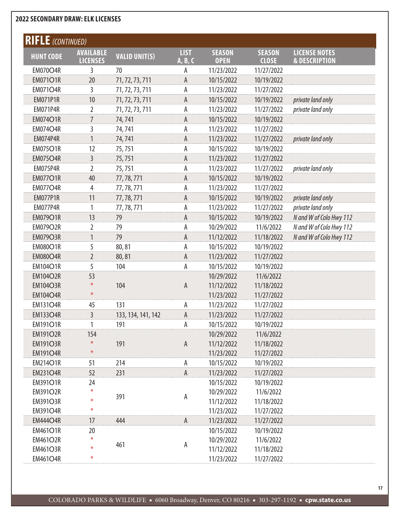| <b>RIFLE</b> (CONTINUED) |                                     |                      |                        |                              |                               |                                                  |
|--------------------------|-------------------------------------|----------------------|------------------------|------------------------------|-------------------------------|--------------------------------------------------|
| <b>HUNT CODE</b>         | <b>AVAILABLE</b><br><b>LICENSES</b> | <b>VALID UNIT(S)</b> | <b>LIST</b><br>A, B, C | <b>SEASON</b><br><b>OPEN</b> | <b>SEASON</b><br><b>CLOSE</b> | <b>LICENSE NOTES</b><br><b>&amp; DESCRIPTION</b> |
| <b>EM070O4R</b>          | 3                                   | 70                   | А                      | 11/23/2022                   | 11/27/2022                    |                                                  |
| <b>EM071O1R</b>          | 20                                  | 71, 72, 73, 711      | A                      | 10/15/2022                   | 10/19/2022                    |                                                  |
| <b>EM071O4R</b>          | 3                                   | 71, 72, 73, 711      | Α                      | 11/23/2022                   | 11/27/2022                    |                                                  |
| <b>EM071P1R</b>          | 10                                  | 71, 72, 73, 711      | A                      | 10/15/2022                   | 10/19/2022                    | private land only                                |
| <b>EM071P4R</b>          | 2                                   | 71, 72, 73, 711      | Α                      | 11/23/2022                   | 11/27/2022                    | private land only                                |
| <b>EM074O1R</b>          | $\overline{7}$                      | 74,741               | A                      | 10/15/2022                   | 10/19/2022                    |                                                  |
| <b>EM074O4R</b>          | 3                                   | 74,741               | Α                      | 11/23/2022                   | 11/27/2022                    |                                                  |
| <b>EM074P4R</b>          |                                     | 74,741               | A                      | 11/23/2022                   | 11/27/2022                    | private land only                                |
| <b>EM075O1R</b>          | 12                                  | 75,751               | Α                      | 10/15/2022                   | 10/19/2022                    |                                                  |
| <b>EM075O4R</b>          | 3                                   | 75,751               | A                      | 11/23/2022                   | 11/27/2022                    |                                                  |
| <b>EM075P4R</b>          | $\overline{2}$                      | 75,751               | Α                      | 11/23/2022                   | 11/27/2022                    | private land only                                |
| <b>EM077O1R</b>          | 40                                  | 77, 78, 771          | A                      | 10/15/2022                   | 10/19/2022                    |                                                  |
| <b>EM077O4R</b>          | 4                                   | 77, 78, 771          | А                      | 11/23/2022                   | 11/27/2022                    |                                                  |
| <b>EM077P1R</b>          | 11                                  | 77, 78, 771          | A                      | 10/15/2022                   | 10/19/2022                    | private land only                                |
| <b>EM077P4R</b>          | 1                                   | 77, 78, 771          | Α                      | 11/23/2022                   | 11/27/2022                    | private land only                                |
| <b>EM079O1R</b>          | 13                                  | 79                   | A                      | 10/15/2022                   | 10/19/2022                    | N and W of Colo Hwy 112                          |
| <b>EM079O2R</b>          | 2                                   | 79                   | Α                      | 10/29/2022                   | 11/6/2022                     | N and W of Colo Hwy 112                          |
| <b>EM079O3R</b>          | 1                                   | 79                   | A                      | 11/12/2022                   | 11/18/2022                    | N and W of Colo Hwy 112                          |
| <b>EM080O1R</b>          | 5                                   | 80,81                | Α                      | 10/15/2022                   | 10/19/2022                    |                                                  |
| <b>EM080O4R</b>          | $\overline{2}$                      | 80,81                | A                      | 11/23/2022                   | 11/27/2022                    |                                                  |
| <b>EM104O1R</b>          | 5                                   | 104                  | А                      | 10/15/2022                   | 10/19/2022                    |                                                  |
| <b>EM104O2R</b>          | 53                                  |                      |                        | 10/29/2022                   | 11/6/2022                     |                                                  |
| <b>EM104O3R</b>          | ⋇                                   | 104                  | A                      | 11/12/2022                   | 11/18/2022                    |                                                  |
| <b>EM104O4R</b>          | $\divideontimes$                    |                      |                        | 11/23/2022                   | 11/27/2022                    |                                                  |
| <b>EM131O4R</b>          | 45                                  | 131                  | A                      | 11/23/2022                   | 11/27/2022                    |                                                  |
| <b>EM133O4R</b>          | $\overline{3}$                      | 133, 134, 141, 142   | A                      | 11/23/2022                   | 11/27/2022                    |                                                  |
| <b>EM191O1R</b>          | 1                                   | 191                  | А                      | 10/15/2022                   | 10/19/2022                    |                                                  |
| <b>EM191O2R</b>          | 154                                 |                      |                        | 10/29/2022                   | 11/6/2022                     |                                                  |
| <b>EM191O3R</b>          | $\ast$                              | 191                  | A                      | 11/12/2022                   | 11/18/2022                    |                                                  |
| <b>EM191O4R</b>          | $\ast$                              |                      |                        | 11/23/2022                   | 11/27/2022                    |                                                  |
| <b>EM214O1R</b>          | 51                                  | 214                  | A                      | 10/15/2022                   | 10/19/2022                    |                                                  |
| <b>EM231O4R</b>          | 52                                  | 231                  | A                      | 11/23/2022                   | 11/27/2022                    |                                                  |
| <b>EM391O1R</b>          | 24                                  |                      |                        | 10/15/2022                   | 10/19/2022                    |                                                  |
| <b>EM391O2R</b>          | ₩                                   | 391                  | А                      | 10/29/2022                   | 11/6/2022                     |                                                  |
| <b>EM391O3R</b>          | ⋇                                   |                      |                        | 11/12/2022                   | 11/18/2022                    |                                                  |
| <b>EM391O4R</b>          | ⋇                                   |                      |                        | 11/23/2022                   | 11/27/2022                    |                                                  |
| <b>EM444O4R</b>          | 17                                  | 444                  | $\mathsf A$            | 11/23/2022                   | 11/27/2022                    |                                                  |
| <b>EM461O1R</b>          | 20<br>₩                             |                      |                        | 10/15/2022                   | 10/19/2022                    |                                                  |
| <b>EM461O2R</b>          |                                     | 461                  | А                      | 10/29/2022                   | 11/6/2022                     |                                                  |
| <b>EM461O3R</b>          | ⋇                                   |                      |                        | 11/12/2022                   | 11/18/2022                    |                                                  |
| <b>EM461O4R</b>          |                                     |                      |                        | 11/23/2022                   | 11/27/2022                    |                                                  |